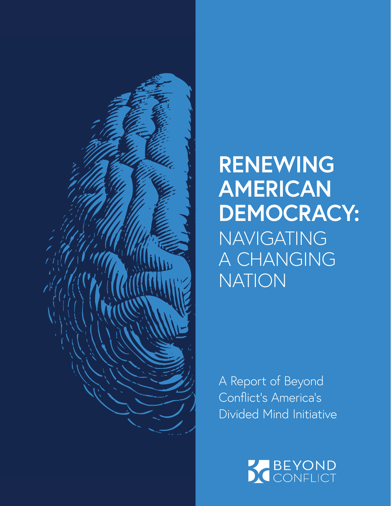

## **RENEWING AMERICAN DEMOCRACY:** NAVIGATING A CHANGING NATION

A Report of Beyond Conflict's America's Divided Mind Initiative

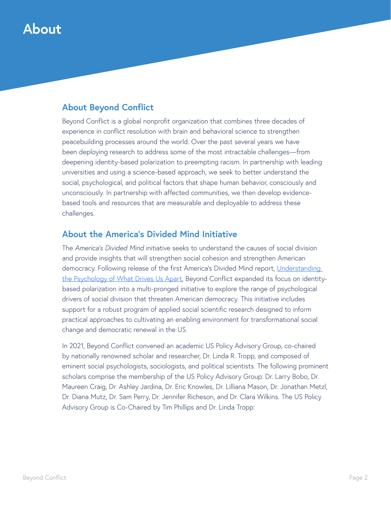### **About**

### **About Beyond Conflict**

Beyond Conflict is a global nonprofit organization that combines three decades of experience in conflict resolution with brain and behavioral science to strengthen peacebuilding processes around the world. Over the past several years we have been deploying research to address some of the most intractable challenges—from deepening identity-based polarization to preempting racism. In partnership with leading universities and using a science-based approach, we seek to better understand the social, psychological, and political factors that shape human behavior, consciously and unconsciously. In partnership with affected communities, we then develop evidencebased tools and resources that are measurable and deployable to address these challenges.

### **About the America's Divided Mind Initiative**

The *America's Divided Mind* initiative seeks to understand the causes of social division and provide insights that will strengthen social cohesion and strengthen American democracy. Following release of the first America's Divided Mind report, [Understanding](https://beyondconflictint.org/americas-divided-mind/)  [the Psychology of What Drives Us Apart](https://beyondconflictint.org/americas-divided-mind/), Beyond Conflict expanded its focus on identitybased polarization into a multi-pronged initiative to explore the range of psychological drivers of social division that threaten American democracy. This initiative includes support for a robust program of applied social scientific research designed to inform practical approaches to cultivating an enabling environment for transformational social change and democratic renewal in the US.

In 2021, Beyond Conflict convened an academic US Policy Advisory Group, co-chaired by nationally renowned scholar and researcher, Dr. Linda R. Tropp, and composed of eminent social psychologists, sociologists, and political scientists. The following prominent scholars comprise the membership of the US Policy Advisory Group: Dr. Larry Bobo, Dr. Maureen Craig, Dr. Ashley Jardina, Dr. Eric Knowles, Dr. Lilliana Mason, Dr. Jonathan Metzl, Dr. Diana Mutz, Dr. Sam Perry, Dr. Jennifer Richeson, and Dr. Clara Wilkins. The US Policy Advisory Group is Co-Chaired by Tim Phillips and Dr. Linda Tropp: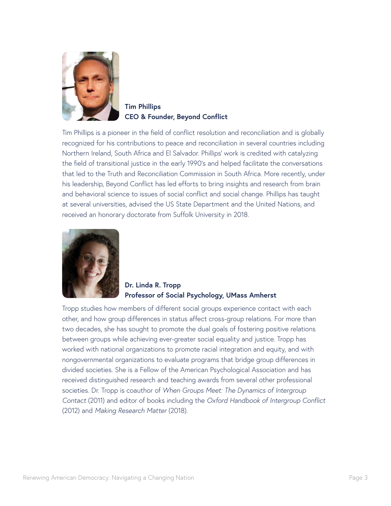

**Tim Phillips CEO & Founder, Beyond Conflict** 

Tim Phillips is a pioneer in the field of conflict resolution and reconciliation and is globally recognized for his contributions to peace and reconciliation in several countries including Northern Ireland, South Africa and El Salvador. Phillips' work is credited with catalyzing the field of transitional justice in the early 1990's and helped facilitate the conversations that led to the Truth and Reconciliation Commission in South Africa. More recently, under his leadership, Beyond Conflict has led efforts to bring insights and research from brain and behavioral science to issues of social conflict and social change. Phillips has taught at several universities, advised the US State Department and the United Nations, and received an honorary doctorate from Suffolk University in 2018.



**Dr. Linda R. Tropp Professor of Social Psychology, UMass Amherst** 

Tropp studies how members of different social groups experience contact with each other, and how group differences in status affect cross-group relations. For more than two decades, she has sought to promote the dual goals of fostering positive relations between groups while achieving ever-greater social equality and justice. Tropp has worked with national organizations to promote racial integration and equity, and with nongovernmental organizations to evaluate programs that bridge group differences in divided societies. She is a Fellow of the American Psychological Association and has received distinguished research and teaching awards from several other professional societies. Dr. Tropp is coauthor of *When Groups Meet: The Dynamics of Intergroup Contact* (2011) and editor of books including the *Oxford Handbook of Intergroup Conflict* (2012) and *Making Research Matter* (2018).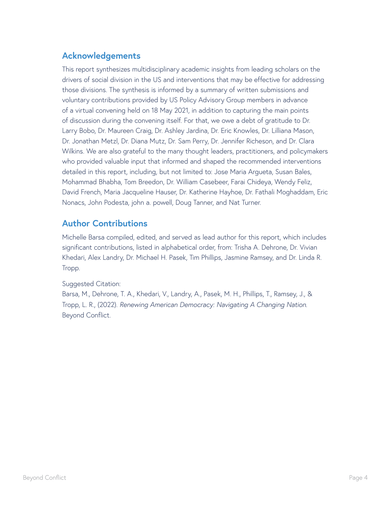### **Acknowledgements**

This report synthesizes multidisciplinary academic insights from leading scholars on the drivers of social division in the US and interventions that may be effective for addressing those divisions. The synthesis is informed by a summary of written submissions and voluntary contributions provided by US Policy Advisory Group members in advance of a virtual convening held on 18 May 2021, in addition to capturing the main points of discussion during the convening itself. For that, we owe a debt of gratitude to Dr. Larry Bobo, Dr. Maureen Craig, Dr. Ashley Jardina, Dr. Eric Knowles, Dr. Lilliana Mason, Dr. Jonathan Metzl, Dr. Diana Mutz, Dr. Sam Perry, Dr. Jennifer Richeson, and Dr. Clara Wilkins. We are also grateful to the many thought leaders, practitioners, and policymakers who provided valuable input that informed and shaped the recommended interventions detailed in this report, including, but not limited to: Jose Maria Argueta, Susan Bales, Mohammad Bhabha, Tom Breedon, Dr. William Casebeer, Farai Chideya, Wendy Feliz, David French, Maria Jacqueline Hauser, Dr. Katherine Hayhoe, Dr. Fathali Moghaddam, Eric Nonacs, John Podesta, john a. powell, Doug Tanner, and Nat Turner.

### **Author Contributions**

Michelle Barsa compiled, edited, and served as lead author for this report, which includes significant contributions, listed in alphabetical order, from: Trisha A. Dehrone, Dr. Vivian Khedari, Alex Landry, Dr. Michael H. Pasek, Tim Phillips, Jasmine Ramsey, and Dr. Linda R. Tropp.

#### Suggested Citation:

Barsa, M., Dehrone, T. A., Khedari, V., Landry, A., Pasek, M. H., Phillips, T., Ramsey, J., & Tropp, L. R., (2022). *Renewing American Democracy: Navigating A Changing Nation*. Beyond Conflict.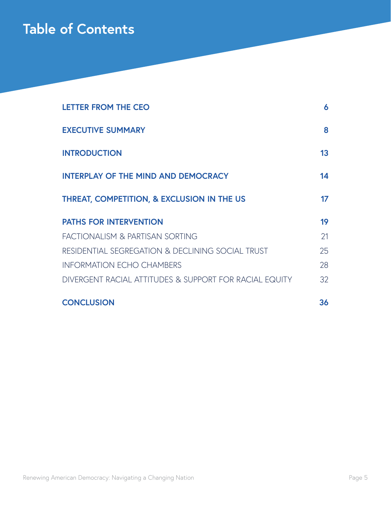### **Table of Contents**

| <b>LETTER FROM THE CEO</b>                             | 6  |
|--------------------------------------------------------|----|
| <b>EXECUTIVE SUMMARY</b>                               | 8  |
| <b>INTRODUCTION</b>                                    | 13 |
| <b>INTERPLAY OF THE MIND AND DEMOCRACY</b>             | 14 |
| THREAT, COMPETITION, & EXCLUSION IN THE US             | 17 |
| <b>PATHS FOR INTERVENTION</b>                          | 19 |
| FACTIONALISM & PARTISAN SORTING                        | 21 |
| RESIDENTIAL SEGREGATION & DECLINING SOCIAL TRUST       | 25 |
| <b>INFORMATION ECHO CHAMBERS</b>                       | 28 |
| DIVERGENT RACIAL ATTITUDES & SUPPORT FOR RACIAL EQUITY | 32 |
| <b>CONCLUSION</b>                                      | 36 |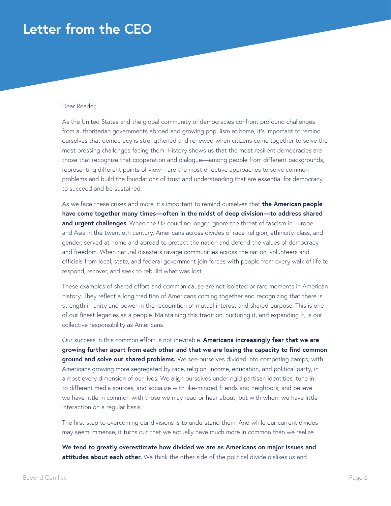### **Letter from the CEO**

#### Dear Reader,

As the United States and the global community of democracies confront profound challenges from authoritarian governments abroad and growing populism at home, it's important to remind ourselves that democracy is strengthened and renewed when citizens come together to solve the most pressing challenges facing them. History shows us that the most resilient democracies are those that recognize that cooperation and dialogue—among people from different backgrounds, representing different points of view—are the most effective approaches to solve common problems and build the foundations of trust and understanding that are essential for democracy to succeed and be sustained.

As we face these crises and more, it's important to remind ourselves that **the American people have come together many times—often in the midst of deep division—to address shared and urgent challenges**. When the US could no longer ignore the threat of fascism in Europe and Asia in the twentieth century, Americans across divides of race, religion, ethnicity, class, and gender, served at home and abroad to protect the nation and defend the values of democracy and freedom. When natural disasters ravage communities across the nation, volunteers and officials from local, state, and federal government join forces with people from every walk of life to respond, recover, and seek to rebuild what was lost.

These examples of shared effort and common cause are not isolated or rare moments in American history. They reflect a long tradition of Americans coming together and recognizing that there is strength in unity and power in the recognition of mutual interest and shared purpose. This is one of our finest legacies as a people. Maintaining this tradition, nurturing it, and expanding it, is our collective responsibility as Americans.

Our success in this common effort is not inevitable. **Americans increasingly fear that we are growing further apart from each other and that we are losing the capacity to find common ground and solve our shared problems.** We see ourselves divided into competing camps, with Americans growing more segregated by race, religion, income, education, and political party, in almost every dimension of our lives. We align ourselves under rigid partisan identities, tune in to different media sources, and socialize with like-minded friends and neighbors, and believe we have little in common with those we may read or hear about, but with whom we have little interaction on a regular basis.

The first step to overcoming our divisions is to understand them. And while our current divides may seem immense, it turns out that we actually have much more in common than we realize.

**We tend to greatly overestimate how divided we are as Americans on major issues and attitudes about each other.** We think the other side of the political divide dislikes us and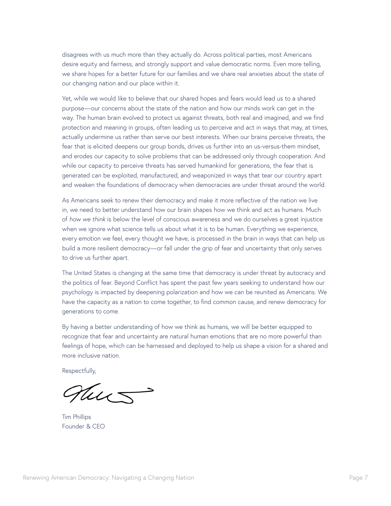disagrees with us much more than they actually do. Across political parties, most Americans desire equity and fairness, and strongly support and value democratic norms. Even more telling, we share hopes for a better future for our families and we share real anxieties about the state of our changing nation and our place within it.

Yet, while we would like to believe that our shared hopes and fears would lead us to a shared purpose—our concerns about the state of the nation and how our minds work can get in the way. The human brain evolved to protect us against threats, both real and imagined, and we find protection and meaning in groups, often leading us to perceive and act in ways that may, at times, actually undermine us rather than serve our best interests. When our brains perceive threats, the fear that is elicited deepens our group bonds, drives us further into an us-versus-them mindset, and erodes our capacity to solve problems that can be addressed only through cooperation. And while our capacity to perceive threats has served humankind for generations, the fear that is generated can be exploited, manufactured, and weaponized in ways that tear our country apart and weaken the foundations of democracy when democracies are under threat around the world.

As Americans seek to renew their democracy and make it more reflective of the nation we live in, we need to better understand how our brain shapes how we think and act as humans. Much of *how we think* is below the level of conscious awareness and we do ourselves a great injustice when we ignore what science tells us about what it is to be human. Everything we experience, every emotion we feel, every thought we have, is processed in the brain in ways that can help us build a more resilient democracy—or fall under the grip of fear and uncertainty that only serves to drive us further apart.

The United States is changing at the same time that democracy is under threat by autocracy and the politics of fear. Beyond Conflict has spent the past few years seeking to understand how our psychology is impacted by deepening polarization and how we can be reunited as Americans. We have the capacity as a nation to come together, to find common cause, and renew democracy for generations to come.

By having a better understanding of how we think as humans, we will be better equipped to recognize that fear and uncertainty are natural human emotions that are no more powerful than feelings of hope, which can be harnessed and deployed to help us shape a vision for a shared and more inclusive nation.

Respectfully,

nur

Tim Phillips Founder & CEO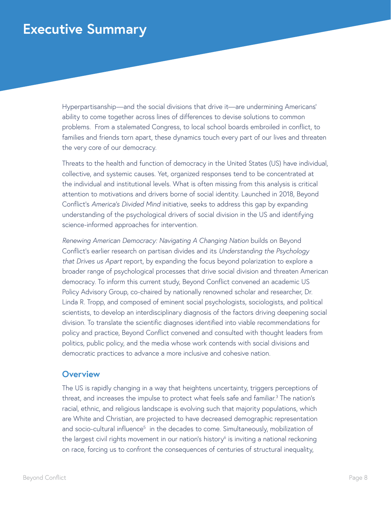### **Executive Summary**

Hyperpartisanship—and the social divisions that drive it—are undermining Americans' ability to come together across lines of differences to devise solutions to common problems. From a stalemated Congress, to local school boards embroiled in conflict, to families and friends torn apart, these dynamics touch every part of our lives and threaten the very core of our democracy.

Threats to the health and function of democracy in the United States (US) have individual, collective, and systemic causes. Yet, organized responses tend to be concentrated at the individual and institutional levels. What is often missing from this analysis is critical attention to motivations and drivers borne of social identity. Launched in 2018, Beyond Conflict's *America's Divided Mind* initiative, seeks to address this gap by expanding understanding of the psychological drivers of social division in the US and identifying science-informed approaches for intervention.

*Renewing American Democracy: Navigating A Changing Nation* builds on Beyond Conflict's earlier research on partisan divides and its *Understanding the Psychology that Drives us Apart* report, by expanding the focus beyond polarization to explore a broader range of psychological processes that drive social division and threaten American democracy. To inform this current study, Beyond Conflict convened an academic US Policy Advisory Group, co-chaired by nationally renowned scholar and researcher, Dr. Linda R. Tropp, and composed of eminent social psychologists, sociologists, and political scientists, to develop an interdisciplinary diagnosis of the factors driving deepening social division. To translate the scientific diagnoses identified into viable recommendations for policy and practice, Beyond Conflict convened and consulted with thought leaders from politics, public policy, and the media whose work contends with social divisions and democratic practices to advance a more inclusive and cohesive nation.

#### **Overview**

The US is rapidly changing in a way that heightens uncertainty, triggers perceptions of threat, and increases the impulse to protect what feels safe and familiar.<sup>3</sup> The nation's racial, ethnic, and religious landscape is evolving such that majority populations, which are White and Christian, are projected to have decreased demographic representation and socio-cultural influence<sup>5</sup> in the decades to come. Simultaneously, mobilization of the largest civil rights movement in our nation's history<sup>6</sup> is inviting a national reckoning on race, forcing us to confront the consequences of centuries of structural inequality,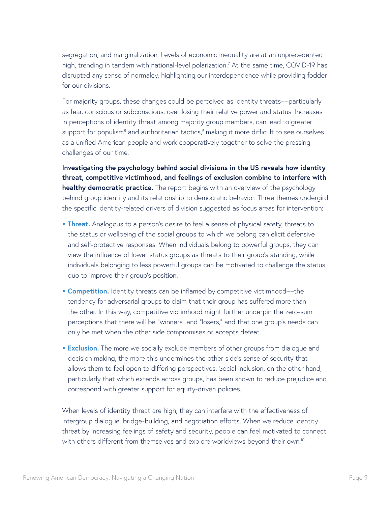segregation, and marginalization. Levels of economic inequality are at an unprecedented high, trending in tandem with national-level polarization.<sup>7</sup> At the same time, COVID-19 has disrupted any sense of normalcy, highlighting our interdependence while providing fodder for our divisions.

For majority groups, these changes could be perceived as identity threats––particularly as fear, conscious or subconscious, over losing their relative power and status. Increases in perceptions of identity threat among majority group members, can lead to greater support for populism $^8$  and authoritarian tactics, $^9$  making it more difficult to see ourselves as a unified American people and work cooperatively together to solve the pressing challenges of our time.

**Investigating the psychology behind social divisions in the US reveals how identity threat, competitive victimhood, and feelings of exclusion combine to interfere with healthy democratic practice.** The report begins with an overview of the psychology behind group identity and its relationship to democratic behavior. Three themes undergird the specific identity-related drivers of division suggested as focus areas for intervention:

- **Threat.** Analogous to a person's desire to feel a sense of physical safety, threats to the status or wellbeing of the social groups to which we belong can elicit defensive and self-protective responses. When individuals belong to powerful groups, they can view the influence of lower status groups as threats to their group's standing, while individuals belonging to less powerful groups can be motivated to challenge the status quo to improve their group's position.
- **Competition.** Identity threats can be inflamed by competitive victimhood––the tendency for adversarial groups to claim that their group has suffered more than the other. In this way, competitive victimhood might further underpin the zero-sum perceptions that there will be "winners" and "losers," and that one group's needs can only be met when the other side compromises or accepts defeat.
- **Exclusion.** The more we socially exclude members of other groups from dialogue and decision making, the more this undermines the other side's sense of security that allows them to feel open to differing perspectives. Social inclusion, on the other hand, particularly that which extends across groups, has been shown to reduce prejudice and correspond with greater support for equity-driven policies.

When levels of identity threat are high, they can interfere with the effectiveness of intergroup dialogue, bridge-building, and negotiation efforts. When we reduce identity threat by increasing feelings of safety and security, people can feel motivated to connect with others different from themselves and explore worldviews beyond their own.<sup>10</sup>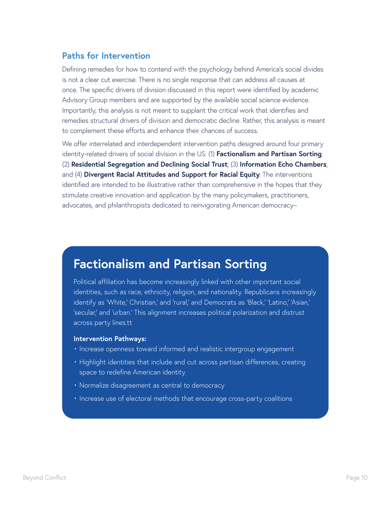### **Paths for Intervention**

Defining remedies for how to contend with the psychology behind America's social divides is not a clear cut exercise. There is no single response that can address all causes at once. The specific drivers of division discussed in this report were identified by academic Advisory Group members and are supported by the available social science evidence. Importantly, this analysis is not meant to supplant the critical work that identifies and remedies structural drivers of division and democratic decline. Rather, this analysis is meant to complement these efforts and enhance their chances of success.

We offer interrelated and interdependent intervention paths designed around four primary identity-related drivers of social division in the US: (1) **Factionalism and Partisan Sorting**; (2) **Residential Segregation and Declining Social Trust**; (3) **Information Echo Chambers**; and (4) **Divergent Racial Attitudes and Support for Racial Equity**. The interventions identified are intended to be illustrative rather than comprehensive in the hopes that they stimulate creative innovation and application by the many policymakers, practitioners, advocates, and philanthropists dedicated to reinvigorating American democracy–

### **Factionalism and Partisan Sorting**

Political affiliation has become increasingly linked with other important social identities, such as race, ethnicity, religion, and nationality. Republicans increasingly identify as 'White,' Christian,' and 'rural,' and Democrats as 'Black,' 'Latino,' 'Asian,' 'secular,' and 'urban.' This alignment increases political polarization and distrust across party lines.tt

#### **Intervention Pathways:**

- Increase openness toward informed and realistic intergroup engagement
- Highlight identities that include and cut across partisan differences, creating space to redefine American identity
- Normalize disagreement as central to democracy
- Increase use of electoral methods that encourage cross-party coalitions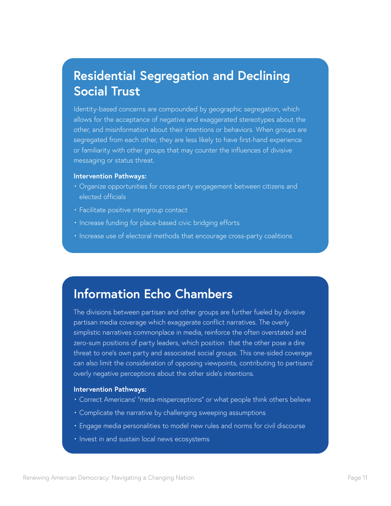### **Residential Segregation and Declining Social Trust**

Identity-based concerns are compounded by geographic segregation, which allows for the acceptance of negative and exaggerated stereotypes about the other, and misinformation about their intentions or behaviors. When groups are segregated from each other, they are less likely to have first-hand experience or familiarity with other groups that may counter the influences of divisive messaging or status threat.

#### **Intervention Pathways:**

- Organize opportunities for cross-party engagement between citizens and elected officials
- Facilitate positive intergroup contact
- Increase funding for place-based civic bridging efforts
- Increase use of electoral methods that encourage cross-party coalitions

### **Information Echo Chambers**

The divisions between partisan and other groups are further fueled by divisive partisan media coverage which exaggerate conflict narratives. The overly simplistic narratives commonplace in media, reinforce the often overstated and zero-sum positions of party leaders, which position that the other pose a dire threat to one's own party and associated social groups. This one-sided coverage can also limit the consideration of opposing viewpoints, contributing to partisans' overly negative perceptions about the other side's intentions.

#### **Intervention Pathways:**

- Correct Americans' "meta-misperceptions" or what people think others believe
- Complicate the narrative by challenging sweeping assumptions
- Engage media personalities to model new rules and norms for civil discourse
- Invest in and sustain local news ecosystems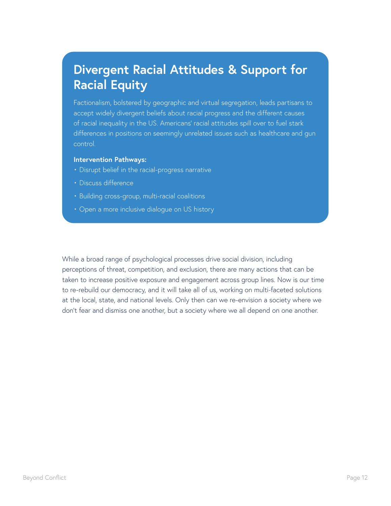### **Divergent Racial Attitudes & Support for Racial Equity**

Factionalism, bolstered by geographic and virtual segregation, leads partisans to accept widely divergent beliefs about racial progress and the different causes of racial inequality in the US. Americans' racial attitudes spill over to fuel stark differences in positions on seemingly unrelated issues such as healthcare and gun control.

#### **Intervention Pathways:**

- Disrupt belief in the racial-progress narrative
- Discuss difference
- Building cross-group, multi-racial coalitions
- Open a more inclusive dialogue on US history

While a broad range of psychological processes drive social division, including perceptions of threat, competition, and exclusion, there are many actions that can be taken to increase positive exposure and engagement across group lines. Now is our time to re-rebuild our democracy, and it will take all of us, working on multi-faceted solutions at the local, state, and national levels. Only then can we re-envision a society where we don't fear and dismiss one another, but a society where we all depend on one another.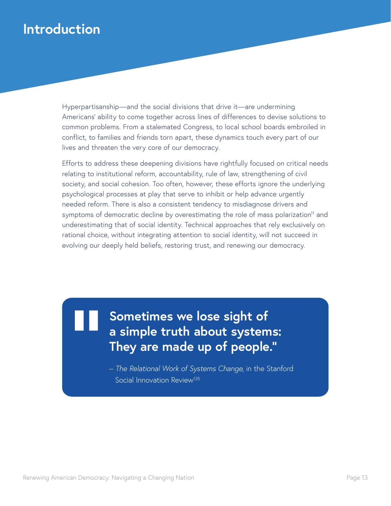### **Introduction**

Hyperpartisanship—and the social divisions that drive it—are undermining Americans' ability to come together across lines of differences to devise solutions to common problems. From a stalemated Congress, to local school boards embroiled in conflict, to families and friends torn apart, these dynamics touch every part of our lives and threaten the very core of our democracy.

Efforts to address these deepening divisions have rightfully focused on critical needs relating to institutional reform, accountability, rule of law, strengthening of civil society, and social cohesion. Too often, however, these efforts ignore the underlying psychological processes at play that serve to inhibit or help advance urgently needed reform. There is also a consistent tendency to misdiagnose drivers and symptoms of democratic decline by overestimating the role of mass polarization<sup>11</sup> and underestimating that of social identity. Technical approaches that rely exclusively on rational choice, without integrating attention to social identity, will not succeed in evolving our deeply held beliefs, restoring trust, and renewing our democracy.

> **Sometimes we lose sight of a simple truth about systems: They are made up of people."**

– *The Relational Work of Systems Change*, in the Stanford Social Innovation Review<sup>135</sup>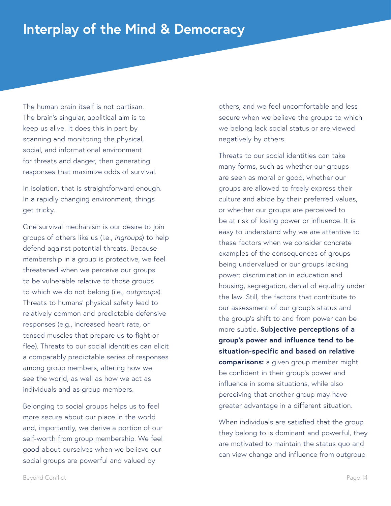### **Interplay of the Mind & Democracy**

The human brain itself is not partisan. The brain's singular, apolitical aim is to keep us alive. It does this in part by scanning and monitoring the physical, social, and informational environment for threats and danger, then generating responses that maximize odds of survival.

In isolation, that is straightforward enough. In a rapidly changing environment, things get tricky.

One survival mechanism is our desire to join groups of others like us (i.e., *ingroups*) to help defend against potential threats. Because membership in a group is protective, we feel threatened when we perceive our groups to be vulnerable relative to those groups to which we do not belong (i.e., *outgroups*). Threats to humans' physical safety lead to relatively common and predictable defensive responses (e.g., increased heart rate, or tensed muscles that prepare us to fight or flee). Threats to our social identities can elicit a comparably predictable series of responses among group members, altering how we see the world, as well as how we act as individuals and as group members.

Belonging to social groups helps us to feel more secure about our place in the world and, importantly, we derive a portion of our self-worth from group membership. We feel good about ourselves when we believe our social groups are powerful and valued by

others, and we feel uncomfortable and less secure when we believe the groups to which we belong lack social status or are viewed negatively by others.

Threats to our social identities can take many forms, such as whether our groups are seen as moral or good, whether our groups are allowed to freely express their culture and abide by their preferred values, or whether our groups are perceived to be at risk of losing power or influence. It is easy to understand why we are attentive to these factors when we consider concrete examples of the consequences of groups being undervalued or our groups lacking power: discrimination in education and housing, segregation, denial of equality under the law. Still, the factors that contribute to our assessment of our group's status and the group's shift to and from power can be more subtle. **Subjective perceptions of a group's power and influence tend to be situation-specific and based on relative comparisons:** a given group member might be confident in their group's power and influence in some situations, while also perceiving that another group may have greater advantage in a different situation.

When individuals are satisfied that the group they belong to is dominant and powerful, they are motivated to maintain the status quo and can view change and influence from outgroup

Beyond Conflict Page 14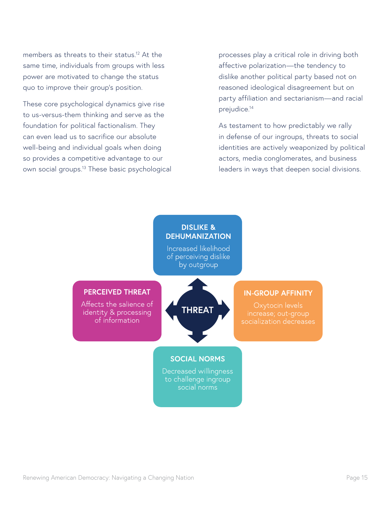members as threats to their status.<sup>12</sup> At the same time, individuals from groups with less power are motivated to change the status quo to improve their group's position.

These core psychological dynamics give rise to us-versus-them thinking and serve as the foundation for political factionalism. They can even lead us to sacrifice our absolute well-being and individual goals when doing so provides a competitive advantage to our own social groups.13 These basic psychological processes play a critical role in driving both affective polarization—the tendency to dislike another political party based not on reasoned ideological disagreement but on party affiliation and sectarianism—and racial prejudice.14

As testament to how predictably we rally in defense of our ingroups, threats to social identities are actively weaponized by political actors, media conglomerates, and business leaders in ways that deepen social divisions.

### **DISLIKE & DEHUMANIZATION**

Increased likelihood of perceiving dislike by outgroup

#### **PERCEIVED THREAT**

Affects the salience of identity & processing of information



#### **IN-GROUP AFFINITY**

socialization decreases

### **SOCIAL NORMS**

Decreased willingness to challenge ingroup social norms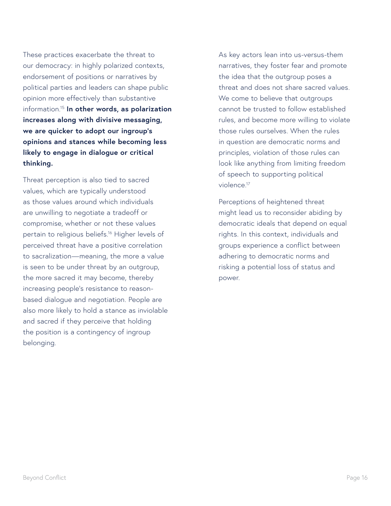These practices exacerbate the threat to our democracy: in highly polarized contexts, endorsement of positions or narratives by political parties and leaders can shape public opinion more effectively than substantive information.15 **In other words, as polarization increases along with divisive messaging, we are quicker to adopt our ingroup's opinions and stances while becoming less likely to engage in dialogue or critical thinking.** 

Threat perception is also tied to sacred values, which are typically understood as those values around which individuals are unwilling to negotiate a tradeoff or compromise, whether or not these values pertain to religious beliefs.16 Higher levels of perceived threat have a positive correlation to sacralization—meaning, the more a value is seen to be under threat by an outgroup, the more sacred it may become, thereby increasing people's resistance to reasonbased dialogue and negotiation. People are also more likely to hold a stance as inviolable and sacred if they perceive that holding the position is a contingency of ingroup belonging.

As key actors lean into us-versus-them narratives, they foster fear and promote the idea that the outgroup poses a threat and does not share sacred values. We come to believe that outgroups cannot be trusted to follow established rules, and become more willing to violate those rules ourselves. When the rules in question are democratic norms and principles, violation of those rules can look like anything from limiting freedom of speech to supporting political violence.17

Perceptions of heightened threat might lead us to reconsider abiding by democratic ideals that depend on equal rights. In this context, individuals and groups experience a conflict between adhering to democratic norms and risking a potential loss of status and power.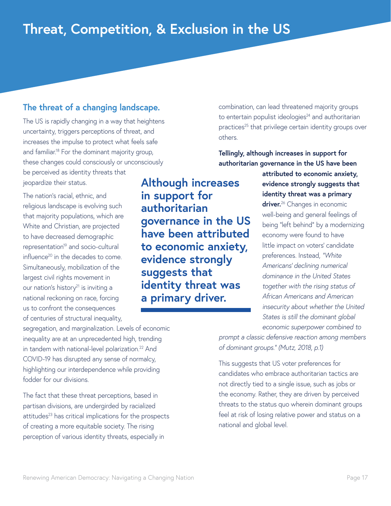### **The threat of a changing landscape.**

The US is rapidly changing in a way that heightens uncertainty, triggers perceptions of threat, and increases the impulse to protect what feels safe and familiar.<sup>18</sup> For the dominant majority group, these changes could consciously or unconsciously be perceived as identity threats that jeopardize their status.

The nation's racial, ethnic, and religious landscape is evolving such that majority populations, which are White and Christian, are projected to have decreased demographic representation<sup>19</sup> and socio-cultural influence<sup>20</sup> in the decades to come. Simultaneously, mobilization of the largest civil rights movement in our nation's history<sup>21</sup> is inviting a national reckoning on race, forcing us to confront the consequences of centuries of structural inequality,

**Although increases in support for authoritarian governance in the US have been attributed to economic anxiety, evidence strongly suggests that identity threat was a primary driver.**

combination, can lead threatened majority groups to entertain populist ideologies<sup>24</sup> and authoritarian practices<sup>25</sup> that privilege certain identity groups over others.

**Tellingly, although increases in support for authoritarian governance in the US have been** 

> **attributed to economic anxiety, evidence strongly suggests that identity threat was a primary driver.**26 Changes in economic well-being and general feelings of being "left behind" by a modernizing economy were found to have little impact on voters' candidate preferences. Instead, *"White Americans' declining numerical dominance in the United States together with the rising status of African Americans and American insecurity about whether the United States is still the dominant global economic superpower combined to*

segregation, and marginalization. Levels of economic inequality are at an unprecedented high, trending in tandem with national-level polarization.<sup>22</sup> And COVID-19 has disrupted any sense of normalcy, highlighting our interdependence while providing fodder for our divisions.

The fact that these threat perceptions, based in partisan divisions, are undergirded by racialized attitudes<sup>23</sup> has critical implications for the prospects of creating a more equitable society. The rising perception of various identity threats, especially in

*prompt a classic defensive reaction among members of dominant groups." (Mutz, 2018, p.1)* 

This suggests that US voter preferences for candidates who embrace authoritarian tactics are not directly tied to a single issue, such as jobs or the economy. Rather, they are driven by perceived threats to the status quo wherein dominant groups feel at risk of losing relative power and status on a national and global level.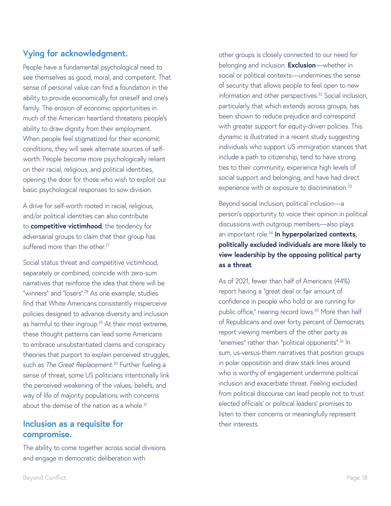### **Vying for acknowledgment.**

People have a fundamental psychological need to see themselves as good, moral, and competent. That sense of personal value can find a foundation in the ability to provide economically for oneself and one's family. The erosion of economic opportunities in much of the American heartland threatens people's ability to draw dignity from their employment. When people feel stigmatized for their economic conditions, they will seek alternate sources of selfworth. People become more psychologically reliant on their racial, religious, and political identities, opening the door for those who wish to exploit our basic psychological responses to sow division.

A drive for self-worth rooted in racial, religious, and/or political identities can also contribute to **competitive victimhood**, the tendency for adversarial groups to claim that their group has suffered more than the other.<sup>27</sup>

Social status threat and competitive victimhood, separately or combined, coincide with zero-sum narratives that reinforce the idea that there will be "winners" and "losers".28 As one example, studies find that White Americans consistently misperceive policies designed to advance diversity and inclusion as harmful to their ingroup.<sup>29</sup> At their most extreme, these thought patterns can lead some Americans to embrace unsubstantiated claims and conspiracy theories that purport to explain perceived struggles, such as *The Great Replacement*. 30 Further fueling a sense of threat, some US politicians intentionally link the perceived weakening of the values, beliefs, and way of life of majority populations with concerns about the demise of the nation as a whole.<sup>31</sup>

### **Inclusion as a requisite for compromise.**

The ability to come together across social divisions and engage in democratic deliberation with

other groups is closely connected to our need for belonging and inclusion. **Exclusion**—whether in social or political contexts—undermines the sense of security that allows people to feel open to new information and other perspectives.<sup>32</sup> Social inclusion, particularly that which extends across groups, has been shown to reduce prejudice and correspond with greater support for equity-driven policies. This dynamic is illustrated in a recent study suggesting individuals who support US immigration stances that include a path to citizenship, tend to have strong ties to their community, experience high levels of social support and belonging, and have had direct experience with or exposure to discrimination.<sup>33</sup>

Beyond social inclusion, political inclusion—a person's opportunity to voice their opinion in political discussions with outgroup members—also plays an important role.34 **In hyperpolarized contexts, politically excluded individuals are more likely to view leadership by the opposing political party as a threat**.

As of 2021, fewer than half of Americans (44%) report having a "great deal or fair amount of confidence in people who hold or are running for public office," nearing record lows.<sup>35</sup> More than half of Republicans and over forty percent of Democrats report viewing members of the other party as "enemies" rather than "political opponents".<sup>36</sup> In sum, us-versus-them narratives that position groups in polar opposition and draw stark lines around who is worthy of engagement undermine political inclusion and exacerbate threat. Feeling excluded from political discourse can lead people not to trust elected officials' or political leaders' promises to listen to their concerns or meaningfully represent their interests.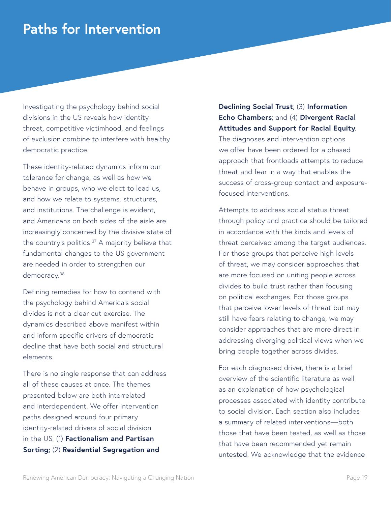### **Paths for Intervention**

Investigating the psychology behind social divisions in the US reveals how identity threat, competitive victimhood, and feelings of exclusion combine to interfere with healthy democratic practice.

These identity-related dynamics inform our tolerance for change, as well as how we behave in groups, who we elect to lead us, and how we relate to systems, structures, and institutions. The challenge is evident, and Americans on both sides of the aisle are increasingly concerned by the divisive state of the country's politics.<sup>37</sup> A majority believe that fundamental changes to the US government are needed in order to strengthen our democracy.<sup>38</sup>

Defining remedies for how to contend with the psychology behind America's social divides is not a clear cut exercise. The dynamics described above manifest within and inform specific drivers of democratic decline that have both social and structural elements.

There is no single response that can address all of these causes at once. The themes presented below are both interrelated and interdependent. We offer intervention paths designed around four primary identity-related drivers of social division in the US: (1) **Factionalism and Partisan Sorting;** (2) **Residential Segregation and** 

**Declining Social Trust**; (3) **Information Echo Chambers**; and (4) **Divergent Racial Attitudes and Support for Racial Equity**.

The diagnoses and intervention options we offer have been ordered for a phased approach that frontloads attempts to reduce threat and fear in a way that enables the success of cross-group contact and exposurefocused interventions.

Attempts to address social status threat through policy and practice should be tailored in accordance with the kinds and levels of threat perceived among the target audiences. For those groups that perceive high levels of threat, we may consider approaches that are more focused on uniting people across divides to build trust rather than focusing on political exchanges. For those groups that perceive lower levels of threat but may still have fears relating to change, we may consider approaches that are more direct in addressing diverging political views when we bring people together across divides.

For each diagnosed driver, there is a brief overview of the scientific literature as well as an explanation of how psychological processes associated with identity contribute to social division. Each section also includes a summary of related interventions—both those that have been tested, as well as those that have been recommended yet remain untested. We acknowledge that the evidence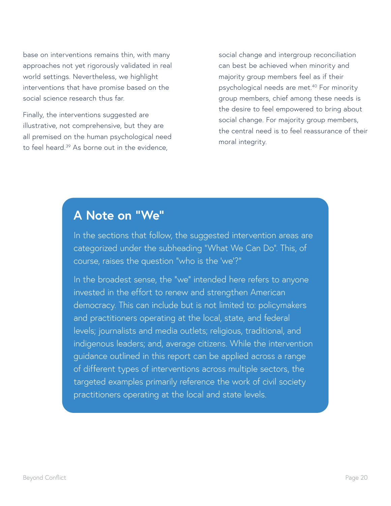base on interventions remains thin, with many approaches not yet rigorously validated in real world settings. Nevertheless, we highlight interventions that have promise based on the social science research thus far.

Finally, the interventions suggested are illustrative, not comprehensive, but they are all premised on the human psychological need to feel heard.<sup>39</sup> As borne out in the evidence,

social change and intergroup reconciliation can best be achieved when minority and majority group members feel as if their psychological needs are met.<sup>40</sup> For minority group members, chief among these needs is the desire to feel empowered to bring about social change. For majority group members, the central need is to feel reassurance of their moral integrity.

### **A Note on "We"**

In the sections that follow, the suggested intervention areas are categorized under the subheading "What We Can Do". This, of course, raises the question "who is the 'we'?"

In the broadest sense, the "we" intended here refers to anyone invested in the effort to renew and strengthen American democracy. This can include but is not limited to: policymakers and practitioners operating at the local, state, and federal levels; journalists and media outlets; religious, traditional, and indigenous leaders; and, average citizens. While the intervention guidance outlined in this report can be applied across a range of different types of interventions across multiple sectors, the targeted examples primarily reference the work of civil society practitioners operating at the local and state levels.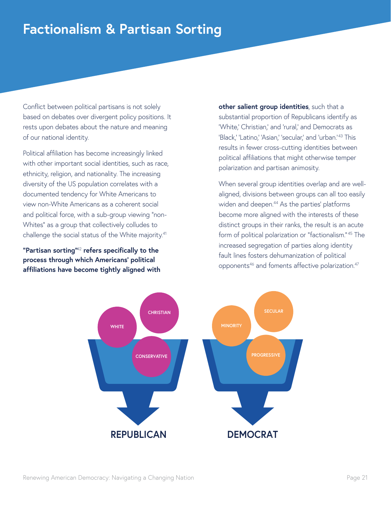### **Factionalism & Partisan Sorting**

Conflict between political partisans is not solely based on debates over divergent policy positions. It rests upon debates about the nature and meaning of our national identity.

Political affiliation has become increasingly linked with other important social identities, such as race, ethnicity, religion, and nationality. The increasing diversity of the US population correlates with a documented tendency for White Americans to view non-White Americans as a coherent social and political force, with a sub-group viewing "non-Whites" as a group that collectively colludes to challenge the social status of the White majority.<sup>41</sup>

**"Partisan sorting"**<sup>42</sup> **refers specifically to the process through which Americans' political affiliations have become tightly aligned with**  **other salient group identities**, such that a substantial proportion of Republicans identify as 'White,' Christian,' and 'rural,' and Democrats as 'Black,' 'Latino,' 'Asian,' 'secular,' and 'urban.'<sup>43</sup> This results in fewer cross-cutting identities between political affiliations that might otherwise temper polarization and partisan animosity.

When several group identities overlap and are wellaligned, divisions between groups can all too easily widen and deepen.<sup>44</sup> As the parties' platforms become more aligned with the interests of these distinct groups in their ranks, the result is an acute form of political polarization or "factionalism." 45 The increased segregation of parties along identity fault lines fosters dehumanization of political opponents<sup>46</sup> and foments affective polarization.<sup>47</sup>

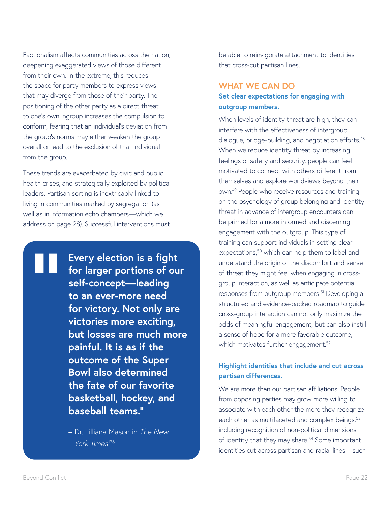Factionalism affects communities across the nation, deepening exaggerated views of those different from their own. In the extreme, this reduces the space for party members to express views that may diverge from those of their party. The positioning of the other party as a direct threat to one's own ingroup increases the compulsion to conform, fearing that an individual's deviation from the group's norms may either weaken the group overall or lead to the exclusion of that individual from the group.

These trends are exacerbated by civic and public health crises, and strategically exploited by political leaders. Partisan sorting is inextricably linked to living in communities marked by segregation (as well as in information echo chambers—which we address on page 28). Successful interventions must

> **Every election is a fight for larger portions of our self-concept—leading to an ever-more need for victory. Not only are victories more exciting, but losses are much more painful. It is as if the outcome of the Super Bowl also determined the fate of our favorite basketball, hockey, and baseball teams."**

– Dr. Lilliana Mason in *The New York Times*<sup>136</sup>

be able to reinvigorate attachment to identities that cross-cut partisan lines.

### **WHAT WE CAN DO**

### **Set clear expectations for engaging with outgroup members.**

When levels of identity threat are high, they can interfere with the effectiveness of intergroup dialogue, bridge-building, and negotiation efforts.<sup>48</sup> When we reduce identity threat by increasing feelings of safety and security, people can feel motivated to connect with others different from themselves and explore worldviews beyond their own.49 People who receive resources and training on the psychology of group belonging and identity threat in advance of intergroup encounters can be primed for a more informed and discerning engagement with the outgroup. This type of training can support individuals in setting clear expectations,<sup>50</sup> which can help them to label and understand the origin of the discomfort and sense of threat they might feel when engaging in crossgroup interaction, as well as anticipate potential responses from outgroup members.<sup>51</sup> Developing a structured and evidence-backed roadmap to guide cross-group interaction can not only maximize the odds of meaningful engagement, but can also instill a sense of hope for a more favorable outcome, which motivates further engagement.<sup>52</sup>

### **Highlight identities that include and cut across partisan differences.**

We are more than our partisan affiliations. People from opposing parties may grow more willing to associate with each other the more they recognize each other as multifaceted and complex beings,<sup>53</sup> including recognition of non-political dimensions of identity that they may share.<sup>54</sup> Some important identities cut across partisan and racial lines—such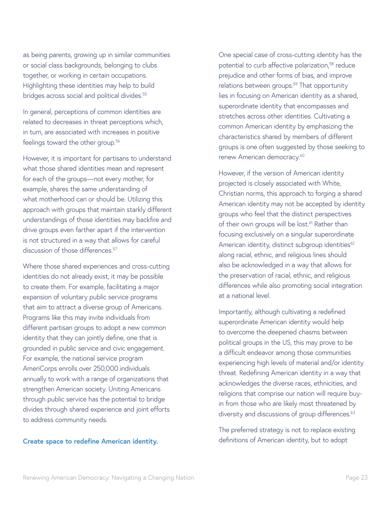as being parents, growing up in similar communities or social class backgrounds, belonging to clubs together, or working in certain occupations. Highlighting these identities may help to build bridges across social and political divides.<sup>55</sup>

In general, perceptions of common identities are related to decreases in threat perceptions which, in turn, are associated with increases in positive feelings toward the other group.<sup>56</sup>

However, it is important for partisans to understand what those shared identities mean and represent for each of the groups—not every mother, for example, shares the same understanding of what motherhood can or should be. Utilizing this approach with groups that maintain starkly different understandings of those identities may backfire and drive groups even farther apart if the intervention is not structured in a way that allows for careful discussion of those differences.<sup>57</sup>

Where those shared experiences and cross-cutting identities do not already exist, it may be possible to create them. For example, facilitating a major expansion of voluntary public service programs that aim to attract a diverse group of Americans. Programs like this may invite individuals from different partisan groups to adopt a new common identity that they can jointly define, one that is grounded in public service and civic engagement. For example, the national service program AmeriCorps enrolls over 250,000 individuals annually to work with a range of organizations that strengthen American society. Uniting Americans through public service has the potential to bridge divides through shared experience and joint efforts to address community needs.

#### **Create space to redefine American identity.**

One special case of cross-cutting identity has the potential to curb affective polarization,<sup>58</sup> reduce prejudice and other forms of bias, and improve relations between groups.<sup>59</sup> That opportunity lies in focusing on American identity as a shared, superordinate identity that encompasses and stretches across other identities. Cultivating a common American identity by emphasizing the characteristics shared by members of different groups is one often suggested by those seeking to renew American democracy.<sup>60</sup>

However, if the version of American identity projected is closely associated with White, Christian norms, this approach to forging a shared American identity may not be accepted by identity groups who feel that the distinct perspectives of their own groups will be lost.<sup>61</sup> Rather than focusing exclusively on a singular superordinate American identity, distinct subgroup identities<sup>62</sup> along racial, ethnic, and religious lines should also be acknowledged in a way that allows for the preservation of racial, ethnic, and religious differences while also promoting social integration at a national level.

Importantly, although cultivating a redefined superordinate American identity would help to overcome the deepened chasms between political groups in the US, this may prove to be a difficult endeavor among those communities experiencing high levels of material and/or identity threat. Redefining American identity in a way that acknowledges the diverse races, ethnicities, and religions that comprise our nation will require buyin from those who are likely most threatened by diversity and discussions of group differences.<sup>63</sup>

The preferred strategy is not to replace existing definitions of American identity, but to adopt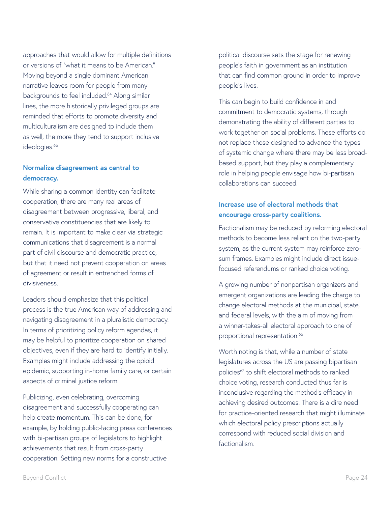approaches that would allow for multiple definitions or versions of "what it means to be American." Moving beyond a single dominant American narrative leaves room for people from many backgrounds to feel included.<sup>64</sup> Along similar lines, the more historically privileged groups are reminded that efforts to promote diversity and multiculturalism are designed to include them as well, the more they tend to support inclusive ideologies.<sup>65</sup>

### **Normalize disagreement as central to democracy.**

While sharing a common identity can facilitate cooperation, there are many real areas of disagreement between progressive, liberal, and conservative constituencies that are likely to remain. It is important to make clear via strategic communications that disagreement is a normal part of civil discourse and democratic practice, but that it need not prevent cooperation on areas of agreement or result in entrenched forms of divisiveness.

Leaders should emphasize that this political process is the true American way of addressing and navigating disagreement in a pluralistic democracy. In terms of prioritizing policy reform agendas, it may be helpful to prioritize cooperation on shared objectives, even if they are hard to identify initially. Examples might include addressing the opioid epidemic, supporting in-home family care, or certain aspects of criminal justice reform.

Publicizing, even celebrating, overcoming disagreement and successfully cooperating can help create momentum. This can be done, for example, by holding public-facing press conferences with bi-partisan groups of legislators to highlight achievements that result from cross-party cooperation. Setting new norms for a constructive

political discourse sets the stage for renewing people's faith in government as an institution that can find common ground in order to improve people's lives.

This can begin to build confidence in and commitment to democratic systems, through demonstrating the ability of different parties to work together on social problems. These efforts do not replace those designed to advance the types of systemic change where there may be less broadbased support, but they play a complementary role in helping people envisage how bi-partisan collaborations can succeed.

### **Increase use of electoral methods that encourage cross-party coalitions.**

Factionalism may be reduced by reforming electoral methods to become less reliant on the two-party system, as the current system may reinforce zerosum frames. Examples might include direct issuefocused referendums or ranked choice voting.

A growing number of nonpartisan organizers and emergent organizations are leading the charge to change electoral methods at the municipal, state, and federal levels, with the aim of moving from a winner-takes-all electoral approach to one of proportional representation.<sup>66</sup>

Worth noting is that, while a number of state legislatures across the US are passing bipartisan policies<sup>67</sup> to shift electoral methods to ranked choice voting, research conducted thus far is inconclusive regarding the method's efficacy in achieving desired outcomes. There is a dire need for practice-oriented research that might illuminate which electoral policy prescriptions actually correspond with reduced social division and factionalism.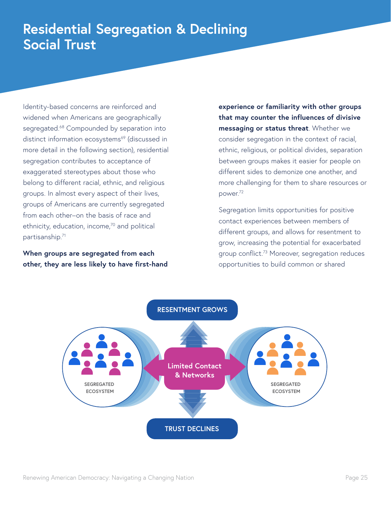### **Residential Segregation & Declining Social Trust**

Identity-based concerns are reinforced and widened when Americans are geographically segregated.<sup>68</sup> Compounded by separation into distinct information ecosystems<sup>69</sup> (discussed in more detail in the following section), residential segregation contributes to acceptance of exaggerated stereotypes about those who belong to different racial, ethnic, and religious groups. In almost every aspect of their lives, groups of Americans are currently segregated from each other–on the basis of race and ethnicity, education, income,<sup>70</sup> and political partisanship.71

**When groups are segregated from each other, they are less likely to have first-hand**  **experience or familiarity with other groups that may counter the influences of divisive messaging or status threat**. Whether we consider segregation in the context of racial, ethnic, religious, or political divides, separation between groups makes it easier for people on different sides to demonize one another, and more challenging for them to share resources or power.72

Segregation limits opportunities for positive contact experiences between members of different groups, and allows for resentment to grow, increasing the potential for exacerbated group conflict.73 Moreover, segregation reduces opportunities to build common or shared

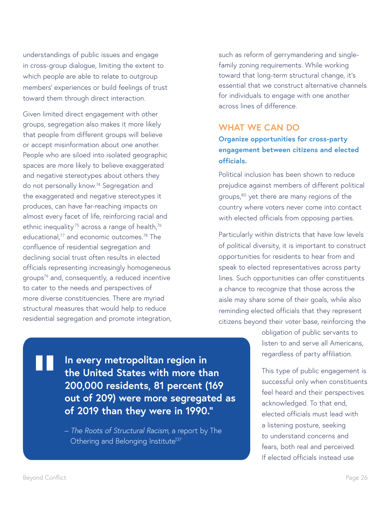understandings of public issues and engage in cross-group dialogue, limiting the extent to which people are able to relate to outgroup members' experiences or build feelings of trust toward them through direct interaction.

Given limited direct engagement with other groups, segregation also makes it more likely that people from different groups will believe or accept misinformation about one another. People who are siloed into isolated geographic spaces are more likely to believe exaggerated and negative stereotypes about others they do not personally know.74 Segregation and the exaggerated and negative stereotypes it produces, can have far-reaching impacts on almost every facet of life, reinforcing racial and ethnic inequality<sup>75</sup> across a range of health,<sup>76</sup> educational,<sup>77</sup> and economic outcomes.<sup>78</sup> The confluence of residential segregation and declining social trust often results in elected officials representing increasingly homogeneous groups79 and, consequently, a reduced incentive to cater to the needs and perspectives of more diverse constituencies. There are myriad structural measures that would help to reduce residential segregation and promote integration, such as reform of gerrymandering and singlefamily zoning requirements. While working toward that long-term structural change, it's essential that we construct alternative channels for individuals to engage with one another across lines of difference.

### **WHAT WE CAN DO**

**Organize opportunities for cross-party engagement between citizens and elected officials.** 

Political inclusion has been shown to reduce prejudice against members of different political groups,<sup>80</sup> yet there are many regions of the country where voters never come into contact with elected officials from opposing parties.

Particularly within districts that have low levels of political diversity, it is important to construct opportunities for residents to hear from and speak to elected representatives across party lines. Such opportunities can offer constituents a chance to recognize that those across the aisle may share some of their goals, while also reminding elected officials that they represent citizens beyond their voter base, reinforcing the

> obligation of public servants to listen to and serve all Americans, regardless of party affiliation.

This type of public engagement is successful only when constituents feel heard and their perspectives acknowledged. To that end, elected officials must lead with a listening posture, seeking to understand concerns and fears, both real and perceived. If elected officials instead use

**In every metropolitan region in the United States with more than 200,000 residents, 81 percent (169 out of 209) were more segregated as of 2019 than they were in 1990."**

– *The Roots of Structural Racism*, a report by The Othering and Belonging Institute<sup>137</sup>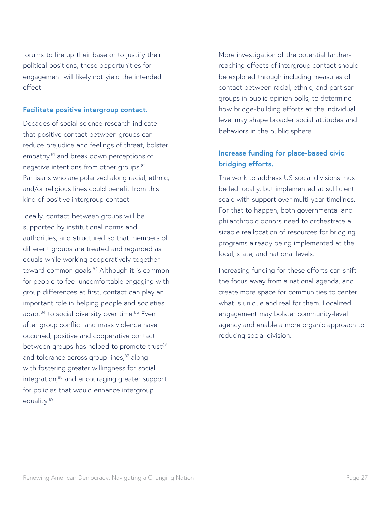forums to fire up their base or to justify their political positions, these opportunities for engagement will likely not yield the intended effect.

#### **Facilitate positive intergroup contact.**

Decades of social science research indicate that positive contact between groups can reduce prejudice and feelings of threat, bolster empathy,<sup>81</sup> and break down perceptions of negative intentions from other groups.<sup>82</sup> Partisans who are polarized along racial, ethnic, and/or religious lines could benefit from this kind of positive intergroup contact.

Ideally, contact between groups will be supported by institutional norms and authorities, and structured so that members of different groups are treated and regarded as equals while working cooperatively together toward common goals.<sup>83</sup> Although it is common for people to feel uncomfortable engaging with group differences at first, contact can play an important role in helping people and societies adapt<sup>84</sup> to social diversity over time.<sup>85</sup> Even after group conflict and mass violence have occurred, positive and cooperative contact between groups has helped to promote trust<sup>86</sup> and tolerance across group lines,<sup>87</sup> along with fostering greater willingness for social integration,88 and encouraging greater support for policies that would enhance intergroup equality.<sup>89</sup>

More investigation of the potential fartherreaching effects of intergroup contact should be explored through including measures of contact between racial, ethnic, and partisan groups in public opinion polls, to determine how bridge-building efforts at the individual level may shape broader social attitudes and behaviors in the public sphere.

### **Increase funding for place-based civic bridging efforts.**

The work to address US social divisions must be led locally, but implemented at sufficient scale with support over multi-year timelines. For that to happen, both governmental and philanthropic donors need to orchestrate a sizable reallocation of resources for bridging programs already being implemented at the local, state, and national levels.

Increasing funding for these efforts can shift the focus away from a national agenda, and create more space for communities to center what is unique and real for them. Localized engagement may bolster community-level agency and enable a more organic approach to reducing social division.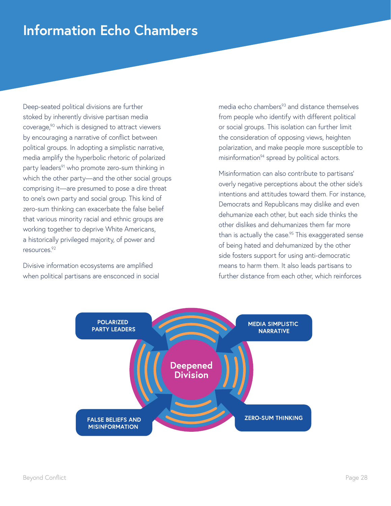### **Information Echo Chambers**

Deep-seated political divisions are further stoked by inherently divisive partisan media coverage,<sup>90</sup> which is designed to attract viewers by encouraging a narrative of conflict between political groups. In adopting a simplistic narrative, media amplify the hyperbolic rhetoric of polarized party leaders<sup>91</sup> who promote zero-sum thinking in which the other party—and the other social groups comprising it—are presumed to pose a dire threat to one's own party and social group. This kind of zero-sum thinking can exacerbate the false belief that various minority racial and ethnic groups are working together to deprive White Americans, a historically privileged majority, of power and resources.92

Divisive information ecosystems are amplified when political partisans are ensconced in social media echo chambers<sup>93</sup> and distance themselves from people who identify with different political or social groups. This isolation can further limit the consideration of opposing views, heighten polarization, and make people more susceptible to misinformation<sup>94</sup> spread by political actors.

Misinformation can also contribute to partisans' overly negative perceptions about the other side's intentions and attitudes toward them. For instance, Democrats and Republicans may dislike and even dehumanize each other, but each side thinks the other dislikes and dehumanizes them far more than is actually the case. $95$  This exaggerated sense of being hated and dehumanized by the other side fosters support for using anti-democratic means to harm them. It also leads partisans to further distance from each other, which reinforces

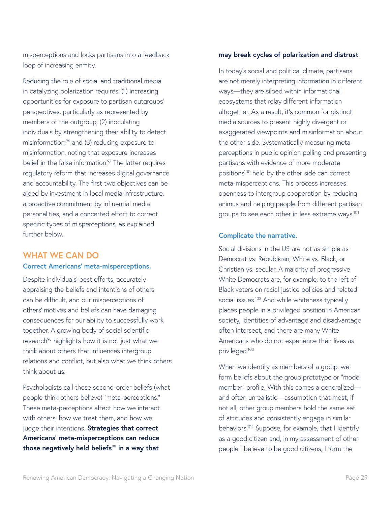misperceptions and locks partisans into a feedback loop of increasing enmity.

Reducing the role of social and traditional media in catalyzing polarization requires: (1) increasing opportunities for exposure to partisan outgroups' perspectives, particularly as represented by members of the outgroup; (2) inoculating individuals by strengthening their ability to detect misinformation;<sup>96</sup> and (3) reducing exposure to misinformation, noting that exposure increases belief in the false information.<sup>97</sup> The latter requires regulatory reform that increases digital governance and accountability. The first two objectives can be aided by investment in local media infrastructure, a proactive commitment by influential media personalities, and a concerted effort to correct specific types of misperceptions, as explained further below.

#### **WHAT WE CAN DO**

#### **Correct Americans' meta-misperceptions.**

Despite individuals' best efforts, accurately appraising the beliefs and intentions of others can be difficult, and our misperceptions of others' motives and beliefs can have damaging consequences for our ability to successfully work together. A growing body of social scientific research<sup>98</sup> highlights how it is not just what we think about others that influences intergroup relations and conflict, but also what we think others think about us.

Psychologists call these second-order beliefs (what people think others believe) "meta-perceptions." These meta-perceptions affect how we interact with others, how we treat them, and how we judge their intentions. **Strategies that correct Americans' meta-misperceptions can reduce those negatively held beliefs**<sup>99</sup> **in a way that** 

#### **may break cycles of polarization and distrust**.

In today's social and political climate, partisans are not merely interpreting information in different ways—they are siloed within informational ecosystems that relay different information altogether. As a result, it's common for distinct media sources to present highly divergent or exaggerated viewpoints and misinformation about the other side. Systematically measuring metaperceptions in public opinion polling and presenting partisans with evidence of more moderate positions100 held by the other side can correct meta-misperceptions. This process increases openness to intergroup cooperation by reducing animus and helping people from different partisan groups to see each other in less extreme ways.<sup>101</sup>

#### **Complicate the narrative.**

Social divisions in the US are not as simple as Democrat vs. Republican, White vs. Black, or Christian vs. secular. A majority of progressive White Democrats are, for example, to the left of Black voters on racial justice policies and related social issues.<sup>102</sup> And while whiteness typically places people in a privileged position in American society, identities of advantage and disadvantage often intersect, and there are many White Americans who do not experience their lives as privileged.103

When we identify as members of a group, we form beliefs about the group prototype or "model member" profile. With this comes a generalized and often unrealistic—assumption that most, if not all, other group members hold the same set of attitudes and consistently engage in similar behaviors.104 Suppose, for example, that I identify as a good citizen and, in my assessment of other people I believe to be good citizens, I form the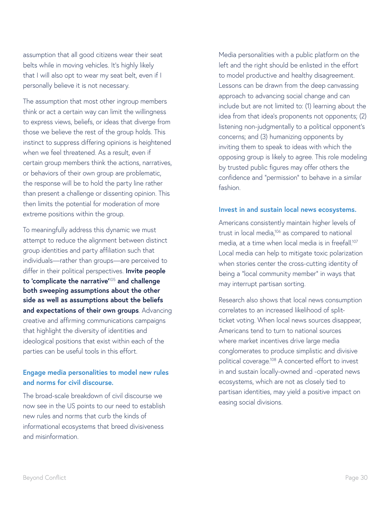assumption that all good citizens wear their seat belts while in moving vehicles. It's highly likely that I will also opt to wear my seat belt, even if I personally believe it is not necessary.

The assumption that most other ingroup members think or act a certain way can limit the willingness to express views, beliefs, or ideas that diverge from those we believe the rest of the group holds. This instinct to suppress differing opinions is heightened when we feel threatened. As a result, even if certain group members think the actions, narratives, or behaviors of their own group are problematic, the response will be to hold the party line rather than present a challenge or dissenting opinion. This then limits the potential for moderation of more extreme positions within the group.

To meaningfully address this dynamic we must attempt to reduce the alignment between distinct group identities and party affiliation such that individuals—rather than groups—are perceived to differ in their political perspectives. **Invite people to 'complicate the narrative'**<sup>105</sup> **and challenge both sweeping assumptions about the other side as well as assumptions about the beliefs and expectations of their own groups**. Advancing creative and affirming communications campaigns that highlight the diversity of identities and ideological positions that exist within each of the parties can be useful tools in this effort.

### **Engage media personalities to model new rules and norms for civil discourse.**

The broad-scale breakdown of civil discourse we now see in the US points to our need to establish new rules and norms that curb the kinds of informational ecosystems that breed divisiveness and misinformation.

Media personalities with a public platform on the left and the right should be enlisted in the effort to model productive and healthy disagreement. Lessons can be drawn from the deep canvassing approach to advancing social change and can include but are not limited to: (1) learning about the idea from that idea's proponents not opponents; (2) listening non-judgmentally to a political opponent's concerns; and (3) humanizing opponents by inviting them to speak to ideas with which the opposing group is likely to agree. This role modeling by trusted public figures may offer others the confidence and "permission" to behave in a similar fashion.

#### **Invest in and sustain local news ecosystems.**

Americans consistently maintain higher levels of trust in local media,<sup>106</sup> as compared to national media, at a time when local media is in freefall.<sup>107</sup> Local media can help to mitigate toxic polarization when stories center the cross-cutting identity of being a "local community member" in ways that may interrupt partisan sorting.

Research also shows that local news consumption correlates to an increased likelihood of splitticket voting. When local news sources disappear, Americans tend to turn to national sources where market incentives drive large media conglomerates to produce simplistic and divisive political coverage.108 A concerted effort to invest in and sustain locally-owned and -operated news ecosystems, which are not as closely tied to partisan identities, may yield a positive impact on easing social divisions.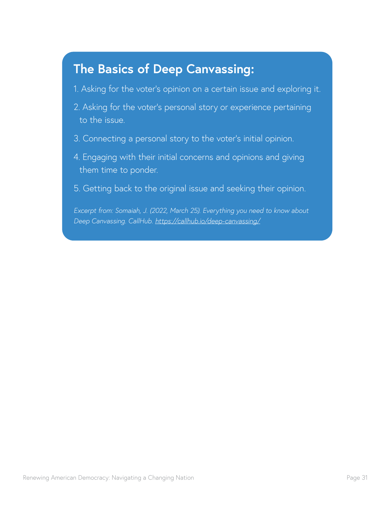### **The Basics of Deep Canvassing:**

- 1. Asking for the voter's opinion on a certain issue and exploring it.
- 2. Asking for the voter's personal story or experience pertaining to the issue.
- 3. Connecting a personal story to the voter's initial opinion.
- 4. Engaging with their initial concerns and opinions and giving them time to ponder.
- 5. Getting back to the original issue and seeking their opinion.

*Excerpt from: Somaiah, J. (2022, March 25). Everything you need to know about Deep Canvassing. CallHub. <https://callhub.io/deep-canvassing/>*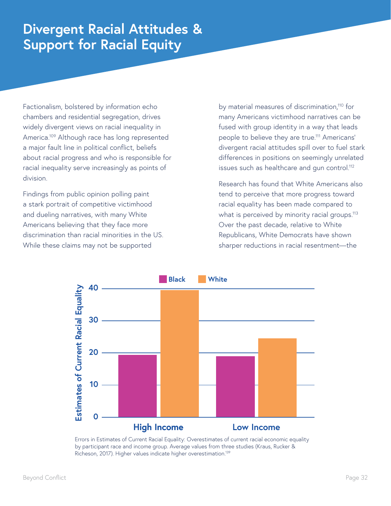### **Divergent Racial Attitudes & Support for Racial Equity**

Factionalism, bolstered by information echo chambers and residential segregation, drives widely divergent views on racial inequality in America.109 Although race has long represented a major fault line in political conflict, beliefs about racial progress and who is responsible for racial inequality serve increasingly as points of division.

Findings from public opinion polling paint a stark portrait of competitive victimhood and dueling narratives, with many White Americans believing that they face more discrimination than racial minorities in the US. While these claims may not be supported

by material measures of discrimination,<sup>110</sup> for many Americans victimhood narratives can be fused with group identity in a way that leads people to believe they are true.111 Americans' divergent racial attitudes spill over to fuel stark differences in positions on seemingly unrelated issues such as healthcare and qun control.<sup>112</sup>

Research has found that White Americans also tend to perceive that more progress toward racial equality has been made compared to what is perceived by minority racial groups.<sup>113</sup> Over the past decade, relative to White Republicans, White Democrats have shown sharper reductions in racial resentment—the



Errors in Estimates of Current Racial Equality: Overestimates of current racial economic equality by participant race and income group. Average values from three studies (Kraus, Rucker & Richeson, 2017). Higher values indicate higher overestimation.139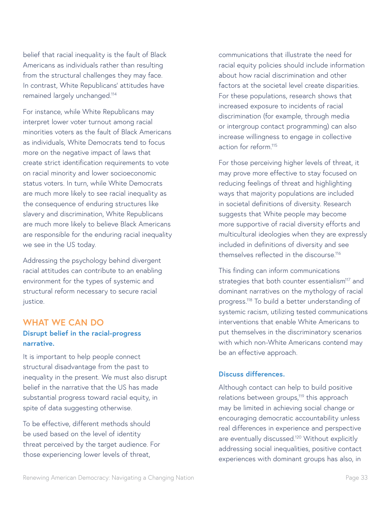belief that racial inequality is the fault of Black Americans as individuals rather than resulting from the structural challenges they may face. In contrast, White Republicans' attitudes have remained largely unchanged.114

For instance, while White Republicans may interpret lower voter turnout among racial minorities voters as the fault of Black Americans as individuals, White Democrats tend to focus more on the negative impact of laws that create strict identification requirements to vote on racial minority and lower socioeconomic status voters. In turn, while White Democrats are much more likely to see racial inequality as the consequence of enduring structures like slavery and discrimination, White Republicans are much more likely to believe Black Americans are responsible for the enduring racial inequality we see in the US today.

Addressing the psychology behind divergent racial attitudes can contribute to an enabling environment for the types of systemic and structural reform necessary to secure racial justice.

### **WHAT WE CAN DO**

### **Disrupt belief in the racial-progress narrative.**

It is important to help people connect structural disadvantage from the past to inequality in the present. We must also disrupt belief in the narrative that the US has made substantial progress toward racial equity, in spite of data suggesting otherwise.

To be effective, different methods should be used based on the level of identity threat perceived by the target audience. For those experiencing lower levels of threat,

communications that illustrate the need for racial equity policies should include information about how racial discrimination and other factors at the societal level create disparities. For these populations, research shows that increased exposure to incidents of racial discrimination (for example, through media or intergroup contact programming) can also increase willingness to engage in collective action for reform.115

For those perceiving higher levels of threat, it may prove more effective to stay focused on reducing feelings of threat and highlighting ways that majority populations are included in societal definitions of diversity. Research suggests that White people may become more supportive of racial diversity efforts and multicultural ideologies when they are expressly included in definitions of diversity and see themselves reflected in the discourse<sup>116</sup>

This finding can inform communications strategies that both counter essentialism<sup>117</sup> and dominant narratives on the mythology of racial progress.118 To build a better understanding of systemic racism, utilizing tested communications interventions that enable White Americans to put themselves in the discriminatory scenarios with which non-White Americans contend may be an effective approach.

#### **Discuss differences.**

Although contact can help to build positive relations between groups,<sup>119</sup> this approach may be limited in achieving social change or encouraging democratic accountability unless real differences in experience and perspective are eventually discussed.<sup>120</sup> Without explicitly addressing social inequalities, positive contact experiences with dominant groups has also, in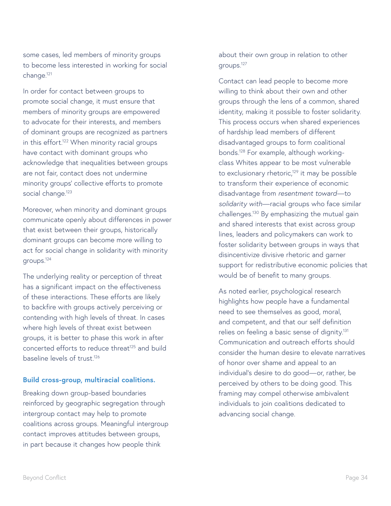some cases, led members of minority groups to become less interested in working for social change.121

In order for contact between groups to promote social change, it must ensure that members of minority groups are empowered to advocate for their interests, and members of dominant groups are recognized as partners in this effort.<sup>122</sup> When minority racial groups have contact with dominant groups who acknowledge that inequalities between groups are not fair, contact does not undermine minority groups' collective efforts to promote social change.<sup>123</sup>

Moreover, when minority and dominant groups communicate openly about differences in power that exist between their groups, historically dominant groups can become more willing to act for social change in solidarity with minority groups.124

The underlying reality or perception of threat has a significant impact on the effectiveness of these interactions. These efforts are likely to backfire with groups actively perceiving or contending with high levels of threat. In cases where high levels of threat exist between groups, it is better to phase this work in after concerted efforts to reduce threat<sup>125</sup> and build baseline levels of trust<sup>126</sup>

#### **Build cross-group, multiracial coalitions.**

Breaking down group-based boundaries reinforced by geographic segregation through intergroup contact may help to promote coalitions across groups. Meaningful intergroup contact improves attitudes between groups, in part because it changes how people think

about their own group in relation to other groups.127

Contact can lead people to become more willing to think about their own and other groups through the lens of a common, shared identity, making it possible to foster solidarity. This process occurs when shared experiences of hardship lead members of different disadvantaged groups to form coalitional bonds.128 For example, although workingclass Whites appear to be most vulnerable to exclusionary rhetoric,<sup>129</sup> it may be possible to transform their experience of economic disadvantage from *resentment toward*—to *solidarity with*—racial groups who face similar challenges.130 By emphasizing the mutual gain and shared interests that exist across group lines, leaders and policymakers can work to foster solidarity between groups in ways that disincentivize divisive rhetoric and garner support for redistributive economic policies that would be of benefit to many groups.

As noted earlier, psychological research highlights how people have a fundamental need to see themselves as good, moral, and competent, and that our self definition relies on feeling a basic sense of dignity.<sup>131</sup> Communication and outreach efforts should consider the human desire to elevate narratives of honor over shame and appeal to an individual's desire to do good—or, rather, be perceived by others to be doing good. This framing may compel otherwise ambivalent individuals to join coalitions dedicated to advancing social change.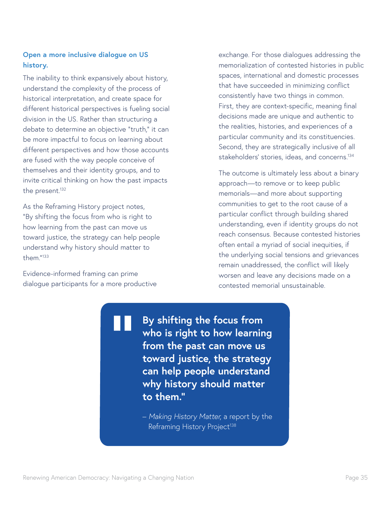### **Open a more inclusive dialogue on US history.**

The inability to think expansively about history, understand the complexity of the process of historical interpretation, and create space for different historical perspectives is fueling social division in the US. Rather than structuring a debate to determine an objective "truth," it can be more impactful to focus on learning about different perspectives and how those accounts are fused with the way people conceive of themselves and their identity groups, and to invite critical thinking on how the past impacts the present.<sup>132</sup>

As the Reframing History project notes, "By shifting the focus from who is right to how learning from the past can move us toward justice, the strategy can help people understand why history should matter to them."133

Evidence-informed framing can prime dialogue participants for a more productive exchange. For those dialogues addressing the memorialization of contested histories in public spaces, international and domestic processes that have succeeded in minimizing conflict consistently have two things in common. First, they are context-specific, meaning final decisions made are unique and authentic to the realities, histories, and experiences of a particular community and its constituencies. Second, they are strategically inclusive of all stakeholders' stories, ideas, and concerns.134

The outcome is ultimately less about a binary approach—to remove or to keep public memorials—and more about supporting communities to get to the root cause of a particular conflict through building shared understanding, even if identity groups do not reach consensus. Because contested histories often entail a myriad of social inequities, if the underlying social tensions and grievances remain unaddressed, the conflict will likely worsen and leave any decisions made on a contested memorial unsustainable.

**By shifting the focus from who is right to how learning from the past can move us toward justice, the strategy can help people understand why history should matter to them."**

– *Making History Matter*, a report by the Reframing History Project<sup>138</sup>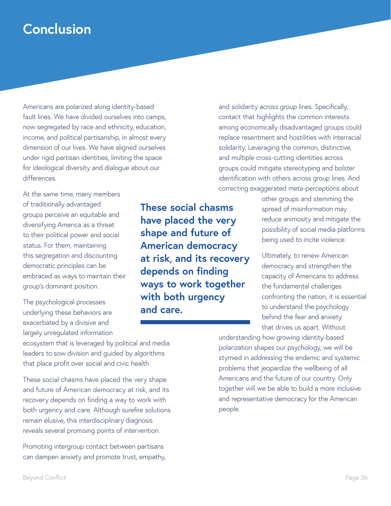### **Conclusion**

Americans are polarized along identity-based fault lines. We have divided ourselves into camps, now segregated by race and ethnicity, education, income, and political partisanship, in almost every dimension of our lives. We have aligned ourselves under rigid partisan identities, limiting the space for ideological diversity and dialogue about our differences.

At the same time, many members of traditionally advantaged groups perceive an equitable and diversifying America as a threat to their political power and social status. For them, maintaining this segregation and discounting democratic principles can be embraced as ways to maintain their group's dominant position.

The psychological processes underlying these behaviors are exacerbated by a divisive and largely unregulated information

ecosystem that is leveraged by political and media leaders to sow division and guided by algorithms that place profit over social and civic health.

These social chasms have placed the very shape and future of American democracy at risk, and its recovery depends on finding a way to work with both urgency and care. Although surefire solutions remain elusive, this interdisciplinary diagnosis reveals several promising points of intervention.

Promoting intergroup contact between partisans can dampen anxiety and promote trust, empathy,

**These social chasms have placed the very shape and future of American democracy at risk, and its recovery depends on finding ways to work together with both urgency and care.**

and solidarity across group lines. Specifically, contact that highlights the common interests among economically disadvantaged groups could replace resentment and hostilities with interracial solidarity. Leveraging the common, distinctive, and multiple cross-cutting identities across groups could mitigate stereotyping and bolster identification with others across group lines. And correcting exaggerated meta-perceptions about

> other groups and stemming the spread of misinformation may reduce animosity and mitigate the possibility of social media platforms being used to incite violence.

Ultimately, to renew American democracy and strengthen the capacity of Americans to address the fundamental challenges confronting the nation, it is essential to understand the psychology behind the fear and anxiety that drives us apart. Without

understanding how growing identity-based polarization shapes our psychology, we will be stymied in addressing the endemic and systemic problems that jeopardize the wellbeing of all Americans and the future of our country. Only together will we be able to build a more inclusive and representative democracy for the American people.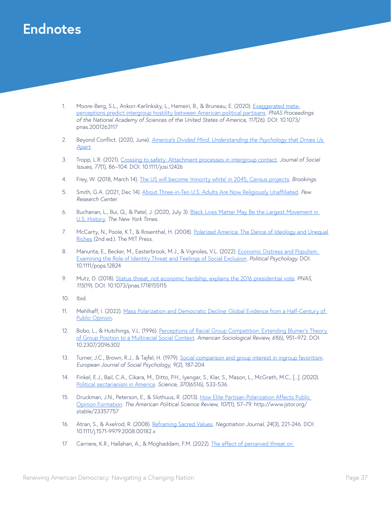### **Endnotes**

- 1. Moore-Berg, S.L., Ankori-Karlinksky, L., Hameiri, B., & Bruneau, E. (2020). [Exaggerated meta](https://www.pnas.org/doi/abs/10.1073/pnas.2001263117)[perceptions predict intergroup hostility between American political partisans](https://www.pnas.org/doi/abs/10.1073/pnas.2001263117). *PNAS Proceedings of the National Academy of Sciences of the United States of America, 117*(26). DOI: 10.1073/ pnas.2001263117
- 2. Beyond Conflict. (2020, June). *[America's Divided Mind: Understanding the Psychology that Drives Us](https://beyondconflictint.org/wp-content/uploads/2020/06/Beyond-Conflict-America_s-Div-ided-Mind-JUNE-2020-FOR-WEB.pdf)  [Apart](https://beyondconflictint.org/wp-content/uploads/2020/06/Beyond-Conflict-America_s-Div-ided-Mind-JUNE-2020-FOR-WEB.pdf)*.
- 3. Tropp, L.R. (2021). [Crossing to safety: Attachment processes in intergroup contact.](https://spssi.onlinelibrary.wiley.com/doi/abs/10.1111/josi.12426) *Journal of Social Issues*, *77*(1), 86–104. DOI: 10.1111/josi.12426
- 4. Frey, W. (2018, March 14). [The US will become 'minority white' in 2045, Census projects](https://www.brookings.edu/blog/the-avenue/2018/03/14/the-us-will-become-minority-white-in-2045-census-projects/). *Brookings*.
- 5. Smith, G.A. (2021, Dec 14). [About Three-in-Ten U.S. Adults Are Now Religiously Unaffiliated](https://www.pewforum.org/2021/12/14/about-three-in-ten-u-s-adults-are-now-religiously-unaffiliated/). *Pew Research Center*.
- 6. Buchanan, L., Bui, Q., & Patel, J. (2020, July 3). [Black Lives Matter May Be the Largest Movement in](https://www.nytimes.com/interactive/2020/07/03/us/george-floyd-protests-crowd-size.html)  [U.S. History.](https://www.nytimes.com/interactive/2020/07/03/us/george-floyd-protests-crowd-size.html) *The New York Times*.
- 7. McCarty, N., Poole, K.T., & Rosenthal, H. (2008). Polarized America: The Dance of Ideology and Unequal [Riches](https://mitpress.mit.edu/books/polarized-america) (2nd ed.). The MIT Press.
- 8. Manunta, E., Becker, M., Easterbrook, M.J., & Vignoles, V.L. (2022). Economic Distress and Populism: [Examining the Role of Identity Threat and Feelings of Social Exclusion](https://onlinelibrary.wiley.com/doi/10.1111/pops.12824). *Political Psychology*. DOI: 10.1111/pops.12824
- 9. Mutz, D. (2018). [Status threat, not economic hardship, explains the 2016 presidential vote](https://www.pnas.org/doi/pdf/10.1073/pnas.1718155115). *PNAS*, *115*(19). DOI: 10.1073/pnas.1718155115
- 10. Ibid.
- 11. Mehlhaff, I. (2022). [Mass Polarization and Democratic Decline: Global Evidence from a Half-Century of](https://imehlhaff.net/files/Polarization%20and%20Democracy.pdf)  [Public Opinion](https://imehlhaff.net/files/Polarization%20and%20Democracy.pdf).
- 12. Bobo, L., & Hutchings, V.L. (1996). Perceptions of Racial Group Competition: Extending Blumer's Theory [of Group Position to a Multiracial Social Context.](https://www.jstor.org/stable/2096302?casa_token=aLxbBlLbhs0AAAAA%3AsgE3gGxIuVNSQPIDEAID9NMXQRfvzgvs69sD214pI4Kel7WVrLPhDCNACRkmTegDXKV-W0st6i7g8ROwj-l-fUdnvps_jk-sNCVaduG3e--9WCIUnx8&seq=1#metadata_info_tab_contents) *American Sociological Review*, *61*(6), 951–972. DOI: 10.2307/2096302
- 13. Turner, J.C., Brown, R.J., & Tajfel, H. (1979). [Social comparison and group interest in ingroup favoritism](https://onlinelibrary.wiley.com/doi/abs/10.1002/ejsp.2420090207). *European Journal of Social Psychology*, *9*(2), 187-204.
- 14. Finkel, E.J., Bail, C.A., Cikara, M., Ditto, P.H., Iyengar, S., Klar, S., Mason, L., McGrath, M.C., [...]. (2020). [Political sectarianism in America.](https://www.science.org/doi/abs/10.1126/science.abe1715) *Science*, *370*(6516), 533-536.
- 15. Druckman, J.N., Peterson, E., & Slothuus, R. (2013). How Elite Partisan Polarization Affects Public [Opinion Formation](https://www.jstor.org/stable/23357757). *The American Political Science Review*, *107*(1), 57–79. http://www.jstor.org/ stable/23357757
- 16. Atran, S., & Axelrod, R. (2008). [Reframing Sacred Values](https://onlinelibrary.wiley.com/doi/abs/10.1111/j.1571-9979.2008.00182.x). *Negotiation Journal*, *24*(3), 221-246. DOI: 10.1111/j.1571-9979.2008.00182.x
- 17. Carriere, K.R., Hallahan, A., & Moghaddam, F.M. (2022). The effect of perceived threat on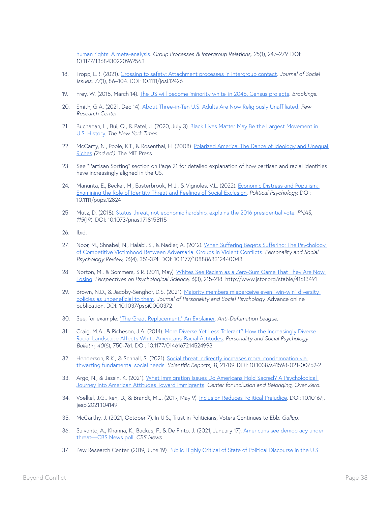[human rights: A meta-analysis](https://journals.sagepub.com/doi/10.1177/1368430220962563). *Group Processes & Intergroup Relations, 25*(1), 247–279. DOI: 10.1177/1368430220962563

- 18. Tropp, L.R. (2021). [Crossing to safety: Attachment processes in intergroup contact.](https://spssi.onlinelibrary.wiley.com/doi/abs/10.1111/josi.12426) *Journal of Social Issues, 77*(1), 86–104. DOI: 10.1111/josi.12426
- 19. Frey, W. (2018, March 14). [The US will become 'minority white' in 2045, Census projects](https://www.brookings.edu/blog/the-avenue/2018/03/14/the-us-will-become-minority-white-in-2045-census-projects/). *Brookings*.
- 20. Smith, G.A. (2021, Dec 14). [About Three-in-Ten U.S. Adults Are Now Religiously Unaffiliated](https://www.pewforum.org/2021/12/14/about-three-in-ten-u-s-adults-are-now-religiously-unaffiliated/). *Pew Research Center*.
- 21. Buchanan, L., Bui, Q., & Patel, J. (2020, July 3). Black Lives Matter May Be the Largest Movement in [U.S. History.](https://www.nytimes.com/interactive/2020/07/03/us/george-floyd-protests-crowd-size.html) *The New York Times*.
- 22. McCarty, N., Poole, K.T., & Rosenthal, H. (2008). Polarized America: The Dance of Ideology and Unequal [Riches](https://mitpress.mit.edu/books/polarized-america) *(2nd ed.)*. The MIT Press.
- 23. See "Partisan Sorting" section on Page 21 for detailed explanation of how partisan and racial identities have increasingly aligned in the US.
- 24. Manunta, E., Becker, M., Easterbrook, M.J., & Vignoles, V.L. (2022). Economic Distress and Populism: [Examining the Role of Identity Threat and Feelings of Social Exclusion](https://onlinelibrary.wiley.com/doi/10.1111/pops.12824). *Political Psychology*. DOI: 10.1111/pops.12824
- 25. Mutz, D. (2018). [Status threat, not economic hardship, explains the 2016 presidential vote](https://www.pnas.org/doi/pdf/10.1073/pnas.1718155115). *PNAS, 115*(19). DOI: 10.1073/pnas.1718155115
- 26. Ibid.
- 27. Noor, M., Shnabel, N., Halabi, S., & Nadler, A. (2012). When Suffering Begets Suffering: The Psychology [of Competitive Victimhood Between Adversarial Groups in Violent Conflicts.](https://journals.sagepub.com/doi/abs/10.1177/1088868312440048) *Personality and Social Psychology Review, 16*(4), 351-374. DOI: 10.1177/1088868312440048
- 28. Norton, M., & Sommers, S.R. (2011, May). Whites See Racism as a Zero-Sum Game That They Are Now [Losing.](https://www.jstor.org/stable/41613491) *Perspectives on Psychological Science, 6*(3), 215-218. http://www.jstor.org/stable/41613491
- 29. Brown, N.D., & Jacoby-Senghor, D.S. (2021). Majority members misperceive even "win-win" diversity [policies as unbeneficial to them.](https://psycnet.apa.org/record/2021-82678-001) *Journal of Personality and Social Psychology*. Advance online publication. DOI: 10.1037/pspi0000372
- 30. See, for example: ["The Great Replacement:" An Explainer](https://www.adl.org/resources/backgrounders/the-great-replacement-an-explainer). *Anti-Defamation League*.
- 31. Craig, M.A., & Richeson, J.A. (2014). [More Diverse Yet Less Tolerant? How the Increasingly Diverse](https://journals.sagepub.com/doi/abs/10.1177/0146167214524993?casa_token=Y0BnYBKz9BwAAAAA%3APr0iwdpA58MEHKArhIhF1LGvkTSLcjsoUvh8Yy8TsgcJb4-yHXsD-pphmr29_ygLC3ci-N479hJz&journalCode=pspc&)  [Racial Landscape Affects White Americans' Racial Attitudes](https://journals.sagepub.com/doi/abs/10.1177/0146167214524993?casa_token=Y0BnYBKz9BwAAAAA%3APr0iwdpA58MEHKArhIhF1LGvkTSLcjsoUvh8Yy8TsgcJb4-yHXsD-pphmr29_ygLC3ci-N479hJz&journalCode=pspc&). *Personality and Social Psychology Bulletin, 40*(6), 750-761. DOI: 10.1177/0146167214524993
- 32. Henderson, R.K., & Schnall, S. (2021). Social threat indirectly increases moral condemnation via [thwarting fundamental social needs.](https://www.nature.com/articles/s41598-021-00752-2.pdf) *Scientific Reports, 11*, 21709. DOI: 10.1038/s41598-021-00752-2
- 33. Argo, N., & Jassin, K. (2021). What Immigration Issues Do Americans Hold Sacred? A Psychological [Journey into American Attitudes Toward Immigrants](https://www.americanimmigrationcouncil.org/sites/default/files/research/what_immigration_issues_do_americans_hold_sacred.pdf). *Center for Inclusion and Belonging, Over Zero*.
- 34. Voelkel, J.G., Ren, D., & Brandt, M.J. (2019, May 9). [Inclusion Reduces Political Prejudice.](https://psyarxiv.com/dxwpu/) DOI: 10.1016/j. jesp.2021.104149
- 35. McCarthy, J. (2021, October 7). In U.S., Trust in Politicians, Voters Continues to Ebb. *Gallup*.
- 36. Salvanto, A., Khanna, K., Backus, F., & De Pinto, J. (2021, January 17). Americans see democracy under [threat—CBS News poll](https://www.cbsnews.com/news/joe-biden-coronavirus-opinion-poll/). *CBS News*.
- 37. Pew Research Center. (2019, June 19). [Public Highly Critical of State of Political Discourse in the U.S.](https://www.pewresearch.org/politics/2019/06/19/public-highly-critical-of-state-of-political-discourse-in-the-u-s/)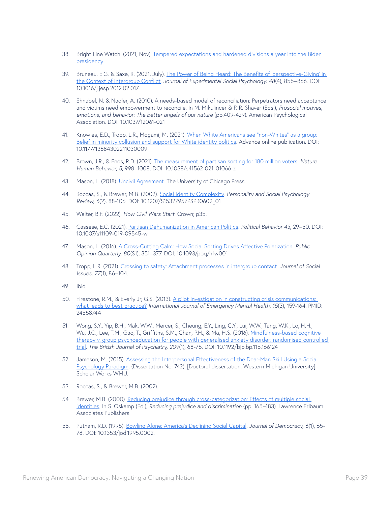- 38. Bright Line Watch. (2021, Nov). [Tempered expectations and hardened divisions a year into the Biden](http://brightlinewatch.org/tempered-expectations-and-hardened-divisions-a-year-into-the-biden-presidency/)  [presidency](http://brightlinewatch.org/tempered-expectations-and-hardened-divisions-a-year-into-the-biden-presidency/).
- 39. Bruneau, E.G. & Saxe, R. (2021, July). The Power of Being Heard: The Benefits of 'perspective-Giving' in [the Context of Intergroup Conflict.](https://www.sciencedirect.com/science/article/abs/pii/S0022103112000297) *Journal of Experimental Social Psychology, 48*(4), 855–866. DOI: 10.1016/j.jesp.2012.02.017
- 40. Shnabel, N. & Nadler, A. (2010). A needs-based model of reconciliation: Perpetrators need acceptance and victims need empowerment to reconcile. In M. Mikulincer & P. R. Shaver (Eds.), *Prosocial motives, emotions, and behavior: The better angels of our nature* (pp.409-429). American Psychological Association. DOI: 10.1037/12061-021
- 41. Knowles, E.D., Tropp, L.R., Mogami, M. (2021). [When White Americans see "non-Whites" as a group:](https://journals.sagepub.com/doi/10.1177/13684302211030009)  [Belief in minority collusion and support for White identity politics.](https://journals.sagepub.com/doi/10.1177/13684302211030009) Advance online publication. DOI: 10.1177/13684302211030009
- 42. Brown, J.R., & Enos, R.D. (2021). [The measurement of partisan sorting for 180 million voters](https://www.nature.com/articles/s41562-021-01066-z#citeas). *Nature Human Behavior, 5*, 998–1008. DOI: 10.1038/s41562-021-01066-z
- 43. Mason, L. (2018). [Uncivil Agreement.](https://press.uchicago.edu/ucp/books/book/chicago/U/bo27527354.html) The University of Chicago Press.
- 44. Roccas, S., & Brewer, M.B. (2002). [Social Identity Complexity.](https://journals.sagepub.com/doi/abs/10.1207/S15327957PSPR0602_01?casa_token=SB2a3jia9pkAAAAA:Peb1Uk35Drzjf3hmvtG_V6yKvDOXZAptTlMWv4gBFqmaCm9fo-CnuFx-rbYPkqbotBjXiaT_Zpfb) *Personality and Social Psychology Review, 6*(2), 88-106. DOI: 10.1207/S15327957PSPR0602\_01
- 45. Walter, B.F. (2022). *How Civil Wars Start*. Crown; p35.
- 46. Cassese, E.C. (2021). [Partisan Dehumanization in American Politics](https://link.springer.com/article/10.1007/s11109-019-09545-w#citeas). *Political Behavior 43*, 29–50. DOI: 10.1007/s11109-019-09545-w
- 47. Mason, L. (2016). [A Cross-Cutting Calm: How Social Sorting Drives Affective Polarization](https://academic.oup.com/poq/article/80/S1/351/2223236). *Public Opinion Quarterly, 80*(S1), 351–377. DOI: 10.1093/poq/nfw001
- 48. Tropp, L.R. (2021). [Crossing to safety: Attachment processes in intergroup contact.](https://spssi.onlinelibrary.wiley.com/doi/abs/10.1111/josi.12426) *Journal of Social Issues, 77*(1), 86–104.
- 49. Ibid.
- 50. Firestone, R.M., & Everly Jr, G.S. (2013). [A pilot investigation in constructing crisis communications:](https://pubmed.ncbi.nlm.nih.gov/24558744/)  [what leads to best practice?](https://pubmed.ncbi.nlm.nih.gov/24558744/) *International Journal of Emergency Mental Health, 15*(3), 159-164. PMID: 24558744
- 51. Wong, S.Y., Yip, B.H., Mak, W.W., Mercer, S., Cheung, E.Y., Ling, C.Y., Lui, W.W., Tang, W.K., Lo, H.H., Wu, J.C., Lee, T.M., Gao, T., Griffiths, S.M., Chan, P.H., & Ma, H.S. (2016). Mindfulness-based cognitive [therapy v. group psychoeducation for people with generalised anxiety disorder: randomised controlled](https://pubmed.ncbi.nlm.nih.gov/26846612/)  [trial.](https://pubmed.ncbi.nlm.nih.gov/26846612/) *The British Journal of Psychiatry, 209*(1), 68-75. DOI: 10.1192/bjp.bp.115.166124
- 52. Jameson, M. (2015). Assessing the Interpersonal Effectiveness of the Dear-Man Skill Using a Social [Psychology Paradigm](https://scholarworks.wmich.edu/dissertations/742/). (Dissertation No. 742). [Doctoral dissertation, Western Michigan University]. Scholar Works WMU.
- 53. Roccas, S., & Brewer, M.B. (2002).
- 54. Brewer, M.B. (2000). Reducing prejudice through cross-categorization: Effects of multiple social [identities.](https://psycnet.apa.org/record/2000-03917-007) In S. Oskamp (Ed.), *Reducing prejudice and discrimination* (pp. 165–183). Lawrence Erlbaum Associates Publishers.
- 55. Putnam, R.D. (1995). [Bowling Alone: America's Declining Social Capital](https://muse.jhu.edu/article/16643/summary). *Journal of Democracy, 6*(1), 65- 78. DOI: 10.1353/jod.1995.0002.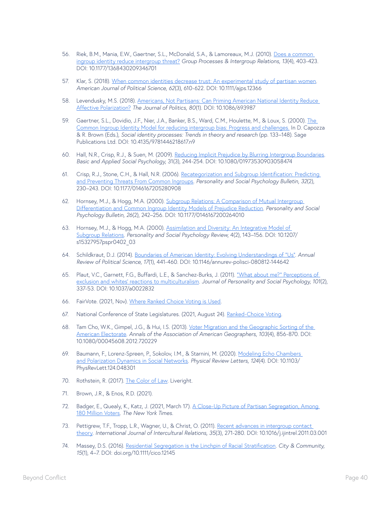- 56. Riek, B.M., Mania, E.W., Gaertner, S.L., McDonald, S.A., & Lamoreaux, M.J. (2010). [Does a common](https://journals.sagepub.com/doi/10.1177/1368430209346701)  [ingroup identity reduce intergroup threat?](https://journals.sagepub.com/doi/10.1177/1368430209346701) *Group Processes & Intergroup Relations, 13*(4), 403-423. DOI: 10.1177/1368430209346701
- 57. Klar, S. (2018). [When common identities decrease trust: An experimental study of partisan women](https://onlinelibrary.wiley.com/doi/10.1111/ajps.12366). *American Journal of Political Science, 62*(3), 610-622. DOI: 10.1111/ajps.12366
- 58. Levendusky, M.S. (2018). Americans, Not Partisans: Can Priming American National Identity Reduce [Affective Polarization?](https://www.journals.uchicago.edu/doi/abs/10.1086/693987) *The Journal of Politics, 80*(1). DOI: 10.1086/693987
- 59. Gaertner, S.L., Dovidio, J.F., Nier, J.A., Banker, B.S., Ward, C.M., Houlette, M., & Loux, S. (2000). The [Common Ingroup Identity Model for reducing intergroup bias: Progress and challenges.](https://psycnet.apa.org/record/2000-16933-009) In D. Capozza & R. Brown (Eds.), *Social identity processes: Trends in theory and research* (pp. 133–148). Sage Publications Ltd. DOI: 10.4135/9781446218617.n9
- 60. Hall, N.R., Crisp, R.J., & Suen, M. (2009). [Reducing Implicit Prejudice by Blurring Intergroup Boundaries.](https://www.tandfonline.com/doi/abs/10.1080/01973530903058474?casa_token=l5GWDo-dhB8AAAAA%3AwVRY6JJ_x-E7DsBzNJbcPArYtdahw5d7WN4OeIJ08tj7Y_FO4b7yrpapGbpfQa2wbvty3DvVmY_2&journalCode=hbas20) *Basic and Applied Social Psychology*, 31(3), 244-254. DOI: 10.1080/01973530903058474
- 61. Crisp, R.J., Stone, C.H., & Hall, N.R. (2006). [Recategorization and Subgroup Identification: Predicting](https://journals.sagepub.com/doi/abs/10.1177/0146167205280908?casa_token=3ZtmMuFiW5MAAAAA:fnpbM-V7kDJPF7YuEuD-Nl88Nkbs8c3UuzNA9S6AtfG2nOSa8UMAC_q-cjY1Q-olprbiMCbvEg)  [and Preventing Threats From Common Ingroups.](https://journals.sagepub.com/doi/abs/10.1177/0146167205280908?casa_token=3ZtmMuFiW5MAAAAA:fnpbM-V7kDJPF7YuEuD-Nl88Nkbs8c3UuzNA9S6AtfG2nOSa8UMAC_q-cjY1Q-olprbiMCbvEg) *Personality and Social Psychology Bulletin, 32*(2), 230–243. DOI: 10.1177/0146167205280908
- 62. Hornsey, M.J., & Hogg, M.A. (2000). [Subgroup Relations: A Comparison of Mutual Intergroup](https://journals.sagepub.com/doi/abs/10.1177/0146167200264010?casa_token=x7M80B4Td1QAAAAA:K2nht4QX4ksnsyTy0x7dYet8JoR5f9UDekL3Yfd1ZizGcLhEeGf7YjnteaApQ4CT52UuyxVfKQ)  [Differentiation and Common Ingroup Identity Models of Prejudice Reduction](https://journals.sagepub.com/doi/abs/10.1177/0146167200264010?casa_token=x7M80B4Td1QAAAAA:K2nht4QX4ksnsyTy0x7dYet8JoR5f9UDekL3Yfd1ZizGcLhEeGf7YjnteaApQ4CT52UuyxVfKQ). *Personality and Social Psychology Bulletin, 26*(2), 242–256. DOI: 10.1177/0146167200264010
- 63. Hornsey, M.J., & Hogg, M.A. (2000). [Assimilation and Diversity: An Integrative Model of](https://journals.sagepub.com/doi/10.1207/S15327957PSPR0402_03)  [Subgroup Relations](https://journals.sagepub.com/doi/10.1207/S15327957PSPR0402_03). *Personality and Social Psychology Review*, 4(2), 143–156. DOI: 10.1207/ s15327957pspr0402\_03
- 64. Schildkraut, D.J. (2014). [Boundaries of American Identity: Evolving Understandings of "Us"](https://www.annualreviews.org/doi/abs/10.1146/annurev-polisci-080812-144642). *Annual Review of Political Science, 17*(1), 441-460. DOI: 10.1146/annurev-polisci-080812-144642
- 65. Plaut, V.C., Garnett, F.G., Buffardi, L.E., & Sanchez-Burks, J. (2011). ["What about me?" Perceptions of](https://pubmed.ncbi.nlm.nih.gov/21534702/)  [exclusion and whites' reactions to multiculturalism.](https://pubmed.ncbi.nlm.nih.gov/21534702/) *Journal of Personality and Social Psychology, 101*(2), 337-53. DOI: 10.1037/a0022832
- 66. FairVote. (2021, Nov). [Where Ranked Choice Voting is Used.](https://www.fairvote.org/where_is_ranked_choice_voting_used)
- 67. National Conference of State Legislatures. (2021, August 24). [Ranked-Choice Voting](https://www.ncsl.org/research/elections-and-campaigns/ranked-choice-voting636934215.aspx).
- 68. Tam Cho, W.K., Gimpel, J.G., & Hui, I.S. (2013). Voter Migration and the Geographic Sorting of the [American Electorate.](https://www.tandfonline.com/doi/abs/10.1080/00045608.2012.720229) *Annals of the Association of American Geographers, 103*(4), 856-870. DOI: 10.1080/00045608.2012.720229
- 69. Baumann, F., Lorenz-Spreen, P., Sokolov, I.M., & Starnini, M. (2020). Modeling Echo Chambers [and Polarization Dynamics in Social Networks](https://journals.aps.org/prl/abstract/10.1103/PhysRevLett.124.048301). *Physical Review Letters, 124*(4). DOI: 10.1103/ PhysRevLett.124.048301
- 70. Rothstein, R. (2017). [The Color of Law](https://www.epi.org/publication/the-color-of-law-a-forgotten-history-of-how-our-government-segregated-america/). Liveright.
- 71. Brown, J.R., & Enos, R.D. (2021).
- 72. Badger, E., Quealy, K., Katz, J. (2021, March 17). A Close-Up Picture of Partisan Segregation, Among [180 Million Voters.](https://www.nytimes.com/interactive/2021/03/17/upshot/partisan-segregation-maps.html) *The New York Times.*
- 73. Pettigrew, T.F., Tropp, L.R., Wagner, U., & Christ, O. (2011). [Recent advances in intergroup contact](https://www.sciencedirect.com/science/article/abs/pii/S0147176711000332?casa_token=bi6u0rPPIewAAAAA:bcJJQGWvJliyCh10-kQEh-tE-8Eal2-YDvw58OYayeKjjfUohRKRavYhPf8r2_sAiNQE_fRCBA)  [theory](https://www.sciencedirect.com/science/article/abs/pii/S0147176711000332?casa_token=bi6u0rPPIewAAAAA:bcJJQGWvJliyCh10-kQEh-tE-8Eal2-YDvw58OYayeKjjfUohRKRavYhPf8r2_sAiNQE_fRCBA). *International Journal of Intercultural Relations, 35*(3), 271-280. DOI: 10.1016/j.ijintrel.2011.03.001
- 74. Massey, D.S. (2016). [Residential Segregation is the Linchpin of Racial Stratification.](https://journals.sagepub.com/doi/abs/10.1111/cico.12145?casa_token=w801ke9Zlr4AAAAA%3ARZbza2YHa35hueWSTreGCBE_HtGeRD66e25B2KeFFZd90yG4GeJSMUTSD0Kg2GG_BSztTzNf6_rQ&journalCode=ctya) *City & Community, 15*(1), 4–7. DOI: doi.org/10.1111/cico.12145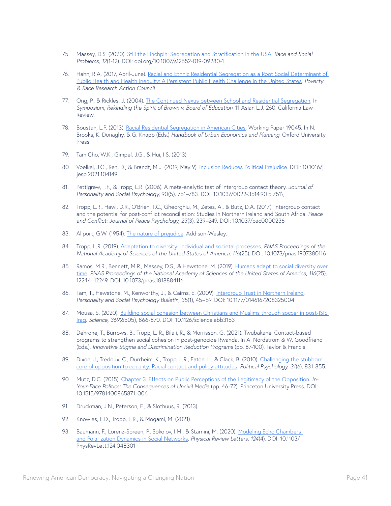- 75. Massey, D.S. (2020). [Still the Linchpin: Segregation and Stratification in the USA](https://link.springer.com/article/10.1007/s12552-019-09280-1#citeas). *Race and Social Problems, 12*(1-12). DOI: doi.org/10.1007/s12552-019-09280-1
- 76. Hahn, R.A. (2017, April-June). Racial and Ethnic Residential Segregation as a Root Social Determinant of [Public Health and Health Inequity: A Persistent Public Health Challenge in the United States.](https://www.prrac.org/racial-and-ethnic-residential-segregation-as-a-root-social-determinant-of-public-health-and-health-inequity-a-persistent-public-health-challenge-in-the-united-states-2/) *Poverty & Race Research Action Council*.
- 77. Ong, P., & Rickles, J. (2004). [The Continued Nexus between School and Residential Segregation](https://heinonline.org/HOL/LandingPage?handle=hein.journals/aslj11&div=18&id=&page=). In *Symposium, Rekindling the Spirit of Brown v. Board of Education*. 11 Asian L.J. 260. California Law Review.
- 78. Boustan, L.P. (2013). [Racial Residential Segregation in American Cities.](https://www.nber.org/system/files/working_papers/w19045/w19045.pdf) Working Paper 19045. In N. Brooks, K. Donaghy, & G. Knapp (Eds.) *Handbook of Urban Economics and Planning*. Oxford University Press.
- 79. Tam Cho, W.K., Gimpel, J.G., & Hui, I.S. (2013).
- 80. Voelkel, J.G., Ren, D., & Brandt, M.J. (2019, May 9). [Inclusion Reduces Political Prejudice.](https://psyarxiv.com/dxwpu/) DOI: 10.1016/j. jesp.2021.104149
- 81. Pettigrew, T.F., & Tropp, L.R. (2006). A meta-analytic test of intergroup contact theory. *Journal of Personality and Social Psychology*, 90(5), 751–783. DOI: 10.1037/0022-3514.90.5.751\
- 82. Tropp, L.R., Hawi, D.R., O'Brien, T.C., Gheorghiu, M., Zetes, A., & Butz, D.A. (2017). Intergroup contact and the potential for post-conflict reconciliation: Studies in Northern Ireland and South Africa. *Peace and Conflict: Journal of Peace Psychology, 23*(3), 239–249. DOI: 10.1037/pac0000236
- 83. Allport, G.W. (1954). [The nature of prejudice](https://psycnet.apa.org/record/1954-07324-000). Addison-Wesley.
- 84. Tropp, L.R. (2019). [Adaptation to diversity: Individual and societal processes.](https://www.pnas.org/doi/10.1073/pnas.1907380116) *PNAS Proceedings of the National Academy of Sciences of the United States of America, 116*(25). DOI: 10.1073/pnas.1907380116
- 85. Ramos, M.R., Bennett, M.R., Massey, D.S., & Hewstone, M. (2019). Humans adapt to social diversity over [time.](https://www.pnas.org/doi/abs/10.1073/pnas.1818884116) *PNAS Proceedings of the National Academy of Sciences of the United States of America, 116*(25), 12244–12249. DOI: 10.1073/pnas.1818884116
- 86. Tam, T., Hewstone, M., Kenworthy, J., & Cairns, E. (2009). [Intergroup Trust in Northern Ireland.](https://journals.sagepub.com/doi/abs/10.1177/0146167208325004) *Personality and Social Psychology Bulletin, 35*(1), 45–59. DOI: 10.1177/0146167208325004
- 87. Mousa, S. (2020). Building social cohesion between Christians and Muslims through soccer in post-ISIS [Iraq.](https://www.science.org/doi/pdf/10.1126/science.abb3153) *Science, 369*(6505), 866-870. DOI: 10.1126/science.abb3153
- 88. Dehrone, T., Burrows, B., Tropp, L. R., Bilali, R., & Morrisson, G. (2021). Twubakane: Contact-based programs to strengthen social cohesion in post-genocide Rwanda. In A. Nordstrom & W. Goodfriend (Eds.), *Innovative Stigma and Discrimination Reduction Programs* (pp. 87-100). Taylor & Francis.
- 89. Dixon, J., Tredoux, C., Durrheim, K., Tropp, L.R., Eaton, L., & Clack, B. (2010). Challenging the stubborn [core of opposition to equality: Racial contact and policy attitudes.](http://www.jstor.org/stable/41057667) *Political Psychology, 31*(6), 831-855.
- 90. Mutz, D.C. (2015). [Chapter 3. Effects on Public Perceptions of the Legitimacy of the Opposition.](https://www.degruyter.com/document/doi/10.1515/9781400865871-006/html) *In-Your-Face Politics: The Consequences of Uncivil Media* (pp. 46-72). Princeton University Press. DOI: 10.1515/9781400865871-006
- 91. Druckman, J.N., Peterson, E., & Slothuus, R. (2013).
- 92. Knowles, E.D., Tropp, L.R., & Mogami, M. (2021).
- 93. Baumann, F., Lorenz-Spreen, P., Sokolov, I.M., & Starnini, M. (2020). Modeling Echo Chambers [and Polarization Dynamics in Social Networks](https://journals.aps.org/prl/abstract/10.1103/PhysRevLett.124.048301). *Physical Review Letters, 124*(4). DOI: 10.1103/ PhysRevLett.124.048301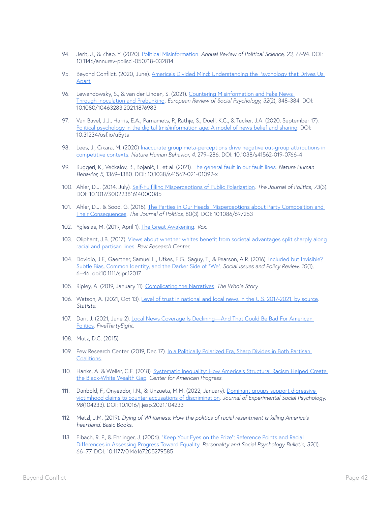- 94. Jerit, J., & Zhao, Y. (2020). [Political Misinformation.](https://www.annualreviews.org/doi/10.1146/annurev-polisci-050718-032814) *Annual Review of Political Science, 23*, 77-94. DOI: 10.1146/annurev-polisci-050718-032814
- 95. Beyond Conflict. (2020, June). America's Divided Mind: Understanding the Psychology that Drives Us [Apart.](https://beyondconflictint.org/wp-content/uploads/2020/06/Beyond-Conflict-America_s-Div-ided-Mind-JUNE-2020-FOR-WEB.pdf)
- 96. Lewandowsky, S., & van der Linden, S. (2021). Countering Misinformation and Fake News [Through Inoculation and Prebunking.](https://www.tandfonline.com/doi/abs/10.1080/10463283.2021.1876983) *European Review of Social Psychology, 32*(2), 348-384. DOI: 10.1080/10463283.2021.1876983
- 97. Van Bavel, J.J., Harris, E.A., Pärnamets, P., Rathje, S., Doell, K.C., & Tucker, J.A. (2020, September 17). [Political psychology in the digital \(mis\)information age: A model of news belief and sharing.](https://psyarxiv.com/u5yts/) DOI: 10.31234/osf.io/u5yts
- 98. Lees, J., Cikara, M. (2020) Inaccurate group meta-perceptions drive negative out-group attributions in [competitive contexts](https://www.nature.com/articles/s41562-019-0766-4). *Nature Human Behavior, 4*, 279–286. DOI: 10.1038/s41562-019-0766-4
- 99. Ruggeri, K., Većkalov, B., Bojanić, L. et al. (2021). [The general fault in our fault lines](https://www.nature.com/articles/s41562-021-01092-x#citeas). *Nature Human Behavior, 5*, 1369–1380. DOI: 10.1038/s41562-021-01092-x
- 100. Ahler, D.J. (2014, July). [Self-Fulfilling Misperceptions of Public Polarization](https://www.journals.uchicago.edu/doi/10.1017/S0022381614000085). *The Journal of Politics, 73*(3). DOI: 10.1017/S0022381614000085
- 101. Ahler, D.J. & Sood, G. (2018). [The Parties in Our Heads: Misperceptions about Party Composition and](https://www.journals.uchicago.edu/doi/epdf/10.1086/697253)  [Their Consequences](https://www.journals.uchicago.edu/doi/epdf/10.1086/697253). *The Journal of Politics*, 80(3). DOI: 10.1086/697253
- 102. Yglesias, M. (2019, April 1). [The Great Awakening](https://www.vox.com/2019/3/22/18259865/great-awokening-white-liberals-race-polling-trump-2020). *Vox*.
- 103. Oliphant, J.B. (2017). Views about whether whites benefit from societal advantages split sharply along [racial and partisan lines.](https://www.pewresearch.org/fact-tank/2017/09/28/views-about-whether-whites-benefit-from-societal-advantages-split-sharply-along-racial-and-partisan-lines/) *Pew Research Center*.
- 104. Dovidio, J.F., Gaertner, Samuel L., Ufkes, E.G.. Saguy, T., & Pearson, A.R. (2016). [Included but Invisible?](https://spssi.onlinelibrary.wiley.com/doi/10.1111/sipr.12017)  [Subtle Bias, Common Identity, and the Darker Side of "We".](https://spssi.onlinelibrary.wiley.com/doi/10.1111/sipr.12017) *Social Issues and Policy Review, 10*(1), 6–46. doi:10.1111/sipr.12017
- 105. Ripley, A. (2019, January 11). [Complicating the Narratives.](https://thewholestory.solutionsjournalism.org/complicating-the-narratives-b91ea06ddf63) *The Whole Story*.
- 106. Watson, A. (2021, Oct 13). [Level of trust in national and local news in the U.S. 2017-2021, by source](https://www.statista.com/statistics/707507/national-local-news-trust/). *Statista*.
- 107. Darr, J. (2021, June 2). [Local News Coverage Is Declining—And That Could Be Bad For American](https://fivethirtyeight.com/features/local-news-coverage-is-declining-and-that-could-be-bad-for-american-politics/)  [Politics.](https://fivethirtyeight.com/features/local-news-coverage-is-declining-and-that-could-be-bad-for-american-politics/) *FiveThirtyEight*.
- 108. Mutz, D.C. (2015).
- 109. Pew Research Center. (2019, Dec 17). In a Politically Polarized Era, Sharp Divides in Both Partisan [Coalitions](https://www.pewresearch.org/politics/2019/12/17/in-a-politically-polarized-era-sharp-divides-in-both-partisan-coalitions/).
- 110. Hanks, A. & Weller, C.E. (2018). Systematic Inequality: How America's Structural Racism Helped Create [the Black-White Wealth Gap](https://www.americanprogress.org/article/systematic-inequality/). *Center for American Progress*.
- 111. Danbold, F., Onyeador, I.N., & Unzueta, M.M. (2022, January). [Dominant groups support digressive](https://www.sciencedirect.com/science/article/pii/S0022103121001360?via%3Dihub)  [victimhood claims to counter accusations of discrimination](https://www.sciencedirect.com/science/article/pii/S0022103121001360?via%3Dihub). *Journal of Experimental Social Psychology, 98*(104233). DOI: 10.1016/j.jesp.2021.104233
- 112. Metzl, J.M. (2019). *Dying of Whiteness: How the politics of racial resentment is killing America's heartland*. Basic Books.
- 113. Eibach, R. P., & Ehrlinger, J. (2006). "Keep Your Eyes on the Prize": Reference Points and Racial [Differences in Assessing Progress Toward Equality.](https://journals.sagepub.com/doi/10.1177/0146167205279585) *Personality and Social Psychology Bulletin, 32*(1), 66–77. DOI: 10.1177/0146167205279585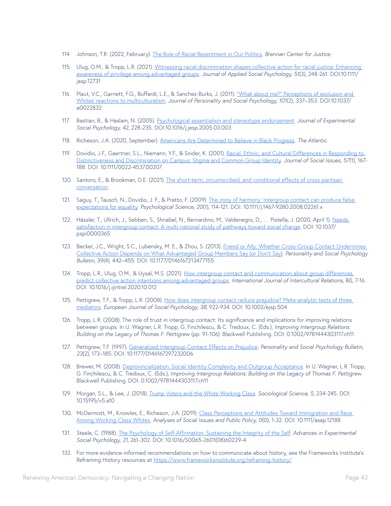- 114. Johnson, T.R. (2022, February). [The Role of Racial Resentment in Our Politics.](https://www.brennancenter.org/our-work/analysis-opinion/role-racial-resentment-our-politics) *Brennan Center for Justice*.
- 115. Ulug, O.M., & Tropp, L.R. (2021). [Witnessing racial discrimination shapes collective action for racial justice: Enhancing](https://onlinelibrary.wiley.com/doi/10.1111/jasp.12731)  [awareness of privilege among advantaged groups.](https://onlinelibrary.wiley.com/doi/10.1111/jasp.12731) *Journal of Applied Social Psychology, 51*(3), 248-261. DOI:10.1111/ jasp.12731
- 116. Plaut, V.C., Garnett, F.G., Buffardi, L.E., & Sanchez-Burks, J. (2011). ["What about me?" Perceptions of exclusion and](https://doi.apa.org/doiLanding?doi=10.1037%2Fa0022832)  [Whites' reactions to multiculturalism](https://doi.apa.org/doiLanding?doi=10.1037%2Fa0022832). *Journal of Personality and Social Psychology, 101*(2), 337–353. DOI:10.1037/ a0022832
- 117. Bastian, B., & Haslam, N. (2005). [Psychological essentialism and stereotype endorsement](https://www2.psy.uq.edu.au/~uqbbast1/Bastian%20&%20Haslam%20JESP%202006.pdf). *Journal of Experimental Social Psychology, 42*, 228-235. DOI:10.1016/j.jesp.2005.03.003
- 118. Richeson, J.A. (2020, September). [Americans Are Determined to Believe in Black Progress.](https://www.theatlantic.com/magazine/archive/2020/09/the-mythology-of-racial-progress/614173/) *The Atlantic*.
- 119. Dovidio, J.F., Gaertner, S.L., Niemann, Y.F., & Snider, K. (2001). [Racial, Ethnic, and Cultural Differences in Responding to](https://spssi.onlinelibrary.wiley.com/doi/abs/10.1111/0022-4537.00207)  [Distinctiveness and Discrimination on Campus: Stigma and Common Group Identity](https://spssi.onlinelibrary.wiley.com/doi/abs/10.1111/0022-4537.00207). *Journal of Social Issues, 57*(1), 167- 188. DOI: 10.1111/0022-4537.00207
- 120. Santoro, E., & Brookman, D.E. (2021). [The short-term, circumscribed, and conditional effects of cross-partisan](https://osf.io/km3q2/download)  [conversation.](https://osf.io/km3q2/download)
- 121. Saguy, T., Tausch, N., Dovidio, J. F., & Pratto, F. (2009). The irony of harmony: Intergroup contact can produce false [expectations for equality.](https://journals.sagepub.com/doi/10.1111/j.1467-9280.2008.02261.x) *Psychological Science, 20*(1), 114-121. DOI: 10.1111/j.1467-9280.2008.02261.x
- 122. Hässler, T., Ullrich, J., Sebben, S., Shnabel, N., Bernardino, M., Valdenegro, D., ... Pistella, J. (2020, April 1). Needs [satisfaction in intergroup contact: A multi-national study of pathways toward social change.](https://psyarxiv.com/f9mwv/) DOI: 10.1037/ pspi0000365
- 123. Becker, J.C., Wright, S.C., Lubensky, M. E., & Zhou, S. (2013). Friend or Ally: Whether Cross-Group Contact Undermines [Collective Action Depends on What Advantaged Group Members Say \(or Don't Say\)](https://journals.sagepub.com/doi/abs/10.1177/0146167213477155?casa_token=72tAnRKRGZ4AAAAA%3A-5QdyK4AH_4TJ4tXd38qo-AYJMJpEztl3Q9QJqBe-BOt_0aDLoTFpq98IpFmFL059l8WiWnjRIrG&journalCode=pspc). *Personality and Social Psychology Bulletin*, 39(4), 442–455. DOI: 10.1177/0146167213477155
- 124. Tropp, L.R., Ulug, O.M., & Uysal, M.S. (2021). How intergroup contact and communication about group differences [predict collective action intentions among advantaged groups.](https://www.sciencedirect.com/science/article/abs/pii/S0147176720302005) *International Journal of Intercultural Relations*, 80, 7-16. DOI: 10.1016/j.ijintrel.2020.10.012
- 125. Pettigrew, T.F., & Tropp, L.R. (2008). [How does intergroup contact reduce prejudice? Meta-analytic tests of three](https://onlinelibrary.wiley.com/doi/abs/10.1002/ejsp.504)  [mediators](https://onlinelibrary.wiley.com/doi/abs/10.1002/ejsp.504). *European Journal of Social Psychology, 38*, 922-934. DOI: 10.1002/ejsp.504
- 126. Tropp, L.R. (2008). The role of trust in intergroup contact: Its significance and implications for improving relations between groups. In U. Wagner, L.R. Tropp, G. Finchilescu, & C. Tredoux, C. (Eds.), *Improving Intergroup Relations: Building on the Legacy of Thomas F. Pettigrew* (pp. 91-106). Blackwell Publishing. DOI: 0.1002/9781444303117.ch11
- 127. Pettigrew, T.F. (1997). [Generalized Intergroup Contact Effects on Prejudice.](https://journals.sagepub.com/doi/10.1177/0146167297232006) *Personality and Social Psychology Bulletin, 23*(2), 173–185. DOI: 10.1177/0146167297232006
- 128. Brewer, M. (2008). [Deprovincialization: Social Identity Complexity and Outgroup Acceptance.](https://onlinelibrary.wiley.com/doi/10.1002/9781444303117.ch11) In U. Wagner, L.R. Tropp, G. Finchilescu, & C. Tredoux, C. (Eds.), *Improving Intergroup Relations: Building on the Legacy of Thomas F. Pettigrew*. Blackwell Publishing. DOI: 0.1002/9781444303117.ch11
- 129. Morgan, S.L., & Lee, J. (2018). [Trump Voters and the White Working Class.](https://sociologicalscience.com/download/vol-5/april/SocSci_v5_234to245.pdf) *Sociological Science, 5*, 234-245. DOI: 10.15195/v5.a10
- 130. McDermott, M., Knowles, E., Richeson, J.A. (2019). Class Perceptions and Attitudes Toward Immigration and Race [Among Working-Class Whites](https://spcl.yale.edu/sites/default/files/files/McDermott_et_al-2019-Analyses_of_Social_Issues_and_Public_Policy(1).pdf). *Analyses of Social Issues and Public Policy, 0*(0), 1-32. DOI: 10.1111/asap.12188
- 131. Steele, C. (1988). [The Psychology of Self-Affirmation: Sustaining the Integrity of the Self.](https://www.sciencedirect.com/science/article/abs/pii/S0065260108602294) *Advances in Experimental Social Psychology, 21*, 261-302. DOI: 10.1016/S0065-2601(08)60229-4
- 132. For more evidence-informed recommendations on how to communicate about history, see the Frameworks Institute's Reframing History resources at <https://www.frameworksinstitute.org/reframing-history/>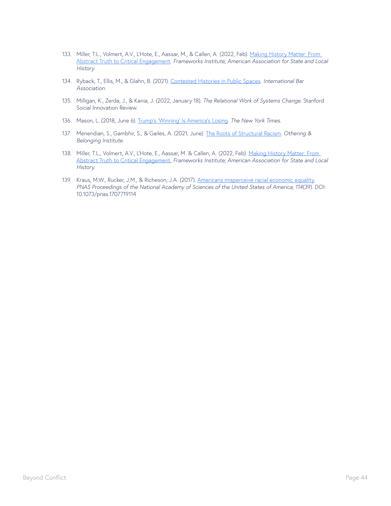- 133. Miller, T.L., Volmert, A.V., L'Hote, E., Aassar, M., & Callen, A. (2022, Feb). Making History Matter: From [Abstract Truth to Critical Engagement.](https://www.frameworksinstitute.org/wp-content/uploads/2022/02/Reframing-History-Report.pdf) *Frameworks Institute; American Association for State and Local History*.
- 134. Ryback, T., Ellis, M., & Glahn, B. (2021). [Contested Histories in Public Spaces](https://www.ibanet.org/contested-histories). *International Bar Association*.
- 135. Milligan, K., Zerda, J., & Kania, J. (2022, January 18). *The Relational Work of Systems Change*. Stanford Social Innovation Review.
- 136. Mason, L. (2018, June 6). [Trump's 'Winning' Is America's Losing](https://www.nytimes.com/2018/06/06/opinion/trump-winning-america-.html). *The New York Times*.
- 137. Menendian, S., Gambhir, S., & Gailes, A. (2021, June). [The Roots of Structural Racism](https://belonging.berkeley.edu/roots-structural-racism). *Othering & Belonging Institute*.
- 138. Miller, T.L., Volmert, A.V., L'Hote, E., Aassar, M. & Callen, A. (2022, Feb). [Making History Matter: From](https://www.frameworksinstitute.org/wp-content/uploads/2022/02/Reframing-History-Report.pdf)  [Abstract Truth to Critical Engagement.](https://www.frameworksinstitute.org/wp-content/uploads/2022/02/Reframing-History-Report.pdf) *Frameworks Institute; American Association for State and Local History*.
- 139. Kraus, M.W., Rucker, J.M., & Richeson, J.A. (2017). [Americans misperceive racial economic equality](https://www.pnas.org/doi/10.1073/pnas.1707719114). *PNAS Proceedings of the National Academy of Sciences of the United States of America, 114*(39). DOI: 10.1073/pnas.1707719114